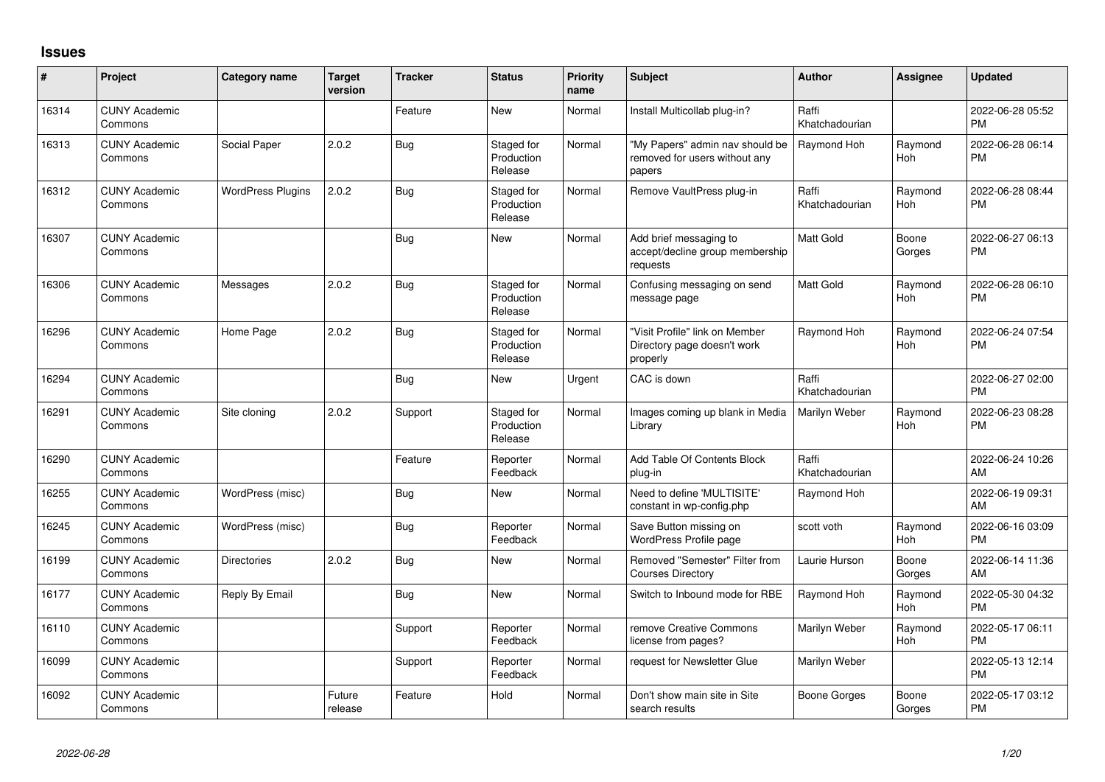## **Issues**

| #     | Project                         | <b>Category name</b>     | <b>Target</b><br>version | <b>Tracker</b> | <b>Status</b>                       | <b>Priority</b><br>name | <b>Subject</b>                                                             | Author                  | <b>Assignee</b>       | <b>Updated</b>                |
|-------|---------------------------------|--------------------------|--------------------------|----------------|-------------------------------------|-------------------------|----------------------------------------------------------------------------|-------------------------|-----------------------|-------------------------------|
| 16314 | <b>CUNY Academic</b><br>Commons |                          |                          | Feature        | <b>New</b>                          | Normal                  | Install Multicollab plug-in?                                               | Raffi<br>Khatchadourian |                       | 2022-06-28 05:52<br><b>PM</b> |
| 16313 | <b>CUNY Academic</b><br>Commons | Social Paper             | 2.0.2                    | <b>Bug</b>     | Staged for<br>Production<br>Release | Normal                  | "My Papers" admin nav should be<br>removed for users without any<br>papers | Raymond Hoh             | Raymond<br>Hoh        | 2022-06-28 06:14<br><b>PM</b> |
| 16312 | <b>CUNY Academic</b><br>Commons | <b>WordPress Plugins</b> | 2.0.2                    | <b>Bug</b>     | Staged for<br>Production<br>Release | Normal                  | Remove VaultPress plug-in                                                  | Raffi<br>Khatchadourian | Raymond<br>Hoh        | 2022-06-28 08:44<br><b>PM</b> |
| 16307 | <b>CUNY Academic</b><br>Commons |                          |                          | <b>Bug</b>     | <b>New</b>                          | Normal                  | Add brief messaging to<br>accept/decline group membership<br>requests      | <b>Matt Gold</b>        | Boone<br>Gorges       | 2022-06-27 06:13<br><b>PM</b> |
| 16306 | <b>CUNY Academic</b><br>Commons | Messages                 | 2.0.2                    | <b>Bug</b>     | Staged for<br>Production<br>Release | Normal                  | Confusing messaging on send<br>message page                                | Matt Gold               | Raymond<br>Hoh        | 2022-06-28 06:10<br><b>PM</b> |
| 16296 | <b>CUNY Academic</b><br>Commons | Home Page                | 2.0.2                    | Bug            | Staged for<br>Production<br>Release | Normal                  | "Visit Profile" link on Member<br>Directory page doesn't work<br>properly  | Raymond Hoh             | Raymond<br>Hoh        | 2022-06-24 07:54<br><b>PM</b> |
| 16294 | <b>CUNY Academic</b><br>Commons |                          |                          | <b>Bug</b>     | <b>New</b>                          | Urgent                  | CAC is down                                                                | Raffi<br>Khatchadourian |                       | 2022-06-27 02:00<br><b>PM</b> |
| 16291 | <b>CUNY Academic</b><br>Commons | Site cloning             | 2.0.2                    | Support        | Staged for<br>Production<br>Release | Normal                  | Images coming up blank in Media<br>Library                                 | Marilyn Weber           | Raymond<br>Hoh        | 2022-06-23 08:28<br><b>PM</b> |
| 16290 | <b>CUNY Academic</b><br>Commons |                          |                          | Feature        | Reporter<br>Feedback                | Normal                  | Add Table Of Contents Block<br>plug-in                                     | Raffi<br>Khatchadourian |                       | 2022-06-24 10:26<br>AM        |
| 16255 | <b>CUNY Academic</b><br>Commons | WordPress (misc)         |                          | Bug            | <b>New</b>                          | Normal                  | Need to define 'MULTISITE'<br>constant in wp-config.php                    | Raymond Hoh             |                       | 2022-06-19 09:31<br>AM        |
| 16245 | <b>CUNY Academic</b><br>Commons | WordPress (misc)         |                          | <b>Bug</b>     | Reporter<br>Feedback                | Normal                  | Save Button missing on<br>WordPress Profile page                           | scott voth              | Raymond<br><b>Hoh</b> | 2022-06-16 03:09<br><b>PM</b> |
| 16199 | <b>CUNY Academic</b><br>Commons | <b>Directories</b>       | 2.0.2                    | Bug            | <b>New</b>                          | Normal                  | Removed "Semester" Filter from<br><b>Courses Directory</b>                 | Laurie Hurson           | Boone<br>Gorges       | 2022-06-14 11:36<br>AM        |
| 16177 | <b>CUNY Academic</b><br>Commons | Reply By Email           |                          | <b>Bug</b>     | <b>New</b>                          | Normal                  | Switch to Inbound mode for RBE                                             | Raymond Hoh             | Raymond<br><b>Hoh</b> | 2022-05-30 04:32<br><b>PM</b> |
| 16110 | <b>CUNY Academic</b><br>Commons |                          |                          | Support        | Reporter<br>Feedback                | Normal                  | remove Creative Commons<br>license from pages?                             | Marilyn Weber           | Raymond<br><b>Hoh</b> | 2022-05-17 06:11<br><b>PM</b> |
| 16099 | <b>CUNY Academic</b><br>Commons |                          |                          | Support        | Reporter<br>Feedback                | Normal                  | request for Newsletter Glue                                                | Marilyn Weber           |                       | 2022-05-13 12:14<br><b>PM</b> |
| 16092 | <b>CUNY Academic</b><br>Commons |                          | Future<br>release        | Feature        | Hold                                | Normal                  | Don't show main site in Site<br>search results                             | <b>Boone Gorges</b>     | Boone<br>Gorges       | 2022-05-17 03:12<br><b>PM</b> |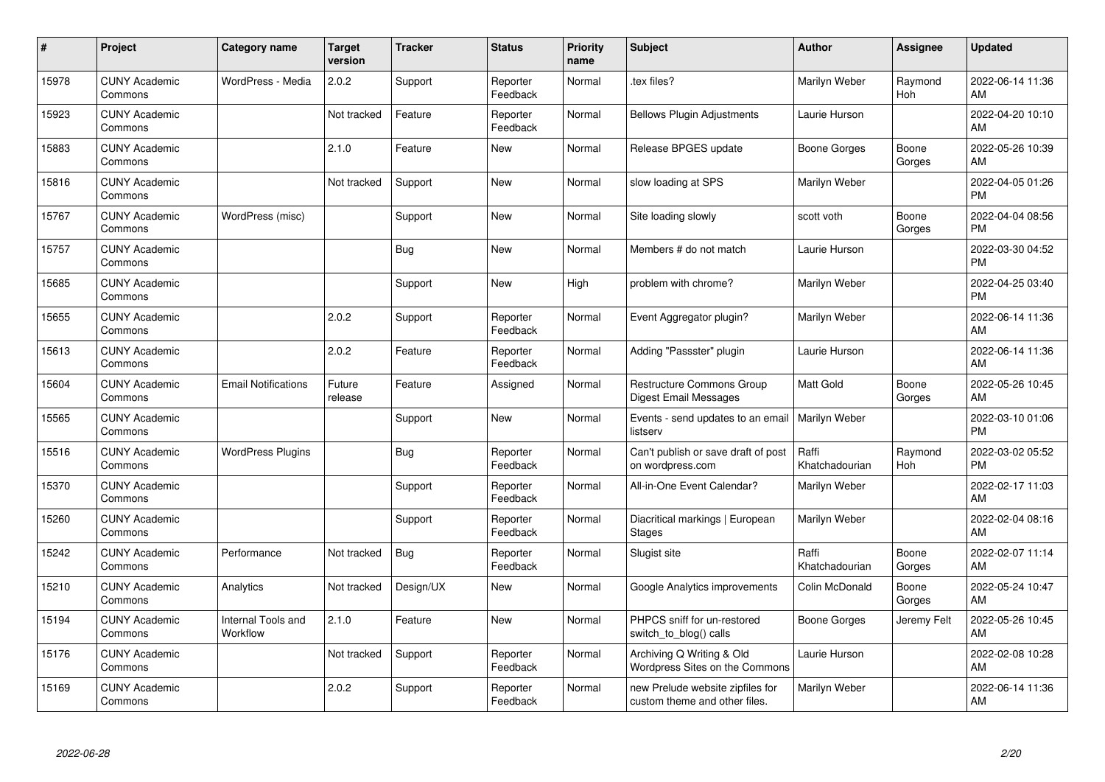| #     | Project                         | <b>Category name</b>           | Target<br>version | <b>Tracker</b> | <b>Status</b>        | <b>Priority</b><br>name | <b>Subject</b>                                                    | <b>Author</b>           | <b>Assignee</b> | <b>Updated</b>                |
|-------|---------------------------------|--------------------------------|-------------------|----------------|----------------------|-------------------------|-------------------------------------------------------------------|-------------------------|-----------------|-------------------------------|
| 15978 | <b>CUNY Academic</b><br>Commons | WordPress - Media              | 2.0.2             | Support        | Reporter<br>Feedback | Normal                  | tex files?                                                        | Marilyn Weber           | Raymond<br>Hoh  | 2022-06-14 11:36<br>AM        |
| 15923 | <b>CUNY Academic</b><br>Commons |                                | Not tracked       | Feature        | Reporter<br>Feedback | Normal                  | <b>Bellows Plugin Adjustments</b>                                 | Laurie Hurson           |                 | 2022-04-20 10:10<br>AM        |
| 15883 | <b>CUNY Academic</b><br>Commons |                                | 2.1.0             | Feature        | <b>New</b>           | Normal                  | Release BPGES update                                              | <b>Boone Gorges</b>     | Boone<br>Gorges | 2022-05-26 10:39<br>AM        |
| 15816 | <b>CUNY Academic</b><br>Commons |                                | Not tracked       | Support        | <b>New</b>           | Normal                  | slow loading at SPS                                               | Marilyn Weber           |                 | 2022-04-05 01:26<br><b>PM</b> |
| 15767 | <b>CUNY Academic</b><br>Commons | WordPress (misc)               |                   | Support        | <b>New</b>           | Normal                  | Site loading slowly                                               | scott voth              | Boone<br>Gorges | 2022-04-04 08:56<br><b>PM</b> |
| 15757 | <b>CUNY Academic</b><br>Commons |                                |                   | <b>Bug</b>     | <b>New</b>           | Normal                  | Members # do not match                                            | Laurie Hurson           |                 | 2022-03-30 04:52<br>PM        |
| 15685 | <b>CUNY Academic</b><br>Commons |                                |                   | Support        | <b>New</b>           | High                    | problem with chrome?                                              | Marilyn Weber           |                 | 2022-04-25 03:40<br><b>PM</b> |
| 15655 | <b>CUNY Academic</b><br>Commons |                                | 2.0.2             | Support        | Reporter<br>Feedback | Normal                  | Event Aggregator plugin?                                          | Marilyn Weber           |                 | 2022-06-14 11:36<br>AM        |
| 15613 | <b>CUNY Academic</b><br>Commons |                                | 2.0.2             | Feature        | Reporter<br>Feedback | Normal                  | Adding "Passster" plugin                                          | Laurie Hurson           |                 | 2022-06-14 11:36<br>AM        |
| 15604 | <b>CUNY Academic</b><br>Commons | <b>Email Notifications</b>     | Future<br>release | Feature        | Assigned             | Normal                  | Restructure Commons Group<br>Digest Email Messages                | <b>Matt Gold</b>        | Boone<br>Gorges | 2022-05-26 10:45<br>AM        |
| 15565 | <b>CUNY Academic</b><br>Commons |                                |                   | Support        | <b>New</b>           | Normal                  | Events - send updates to an email<br>listserv                     | Marilyn Weber           |                 | 2022-03-10 01:06<br><b>PM</b> |
| 15516 | <b>CUNY Academic</b><br>Commons | <b>WordPress Plugins</b>       |                   | Bug            | Reporter<br>Feedback | Normal                  | Can't publish or save draft of post<br>on wordpress.com           | Raffi<br>Khatchadourian | Raymond<br>Hoh  | 2022-03-02 05:52<br><b>PM</b> |
| 15370 | <b>CUNY Academic</b><br>Commons |                                |                   | Support        | Reporter<br>Feedback | Normal                  | All-in-One Event Calendar?                                        | Marilyn Weber           |                 | 2022-02-17 11:03<br>AM        |
| 15260 | <b>CUNY Academic</b><br>Commons |                                |                   | Support        | Reporter<br>Feedback | Normal                  | Diacritical markings   European<br>Stages                         | Marilyn Weber           |                 | 2022-02-04 08:16<br>AM        |
| 15242 | <b>CUNY Academic</b><br>Commons | Performance                    | Not tracked       | <b>Bug</b>     | Reporter<br>Feedback | Normal                  | Slugist site                                                      | Raffi<br>Khatchadourian | Boone<br>Gorges | 2022-02-07 11:14<br>AM        |
| 15210 | <b>CUNY Academic</b><br>Commons | Analytics                      | Not tracked       | Design/UX      | <b>New</b>           | Normal                  | Google Analytics improvements                                     | Colin McDonald          | Boone<br>Gorges | 2022-05-24 10:47<br>AM        |
| 15194 | <b>CUNY Academic</b><br>Commons | Internal Tools and<br>Workflow | 2.1.0             | Feature        | <b>New</b>           | Normal                  | PHPCS sniff for un-restored<br>switch_to_blog() calls             | <b>Boone Gorges</b>     | Jeremy Felt     | 2022-05-26 10:45<br>AM        |
| 15176 | <b>CUNY Academic</b><br>Commons |                                | Not tracked       | Support        | Reporter<br>Feedback | Normal                  | Archiving Q Writing & Old<br>Wordpress Sites on the Commons       | Laurie Hurson           |                 | 2022-02-08 10:28<br>AM        |
| 15169 | <b>CUNY Academic</b><br>Commons |                                | 2.0.2             | Support        | Reporter<br>Feedback | Normal                  | new Prelude website zipfiles for<br>custom theme and other files. | Marilyn Weber           |                 | 2022-06-14 11:36<br>AM        |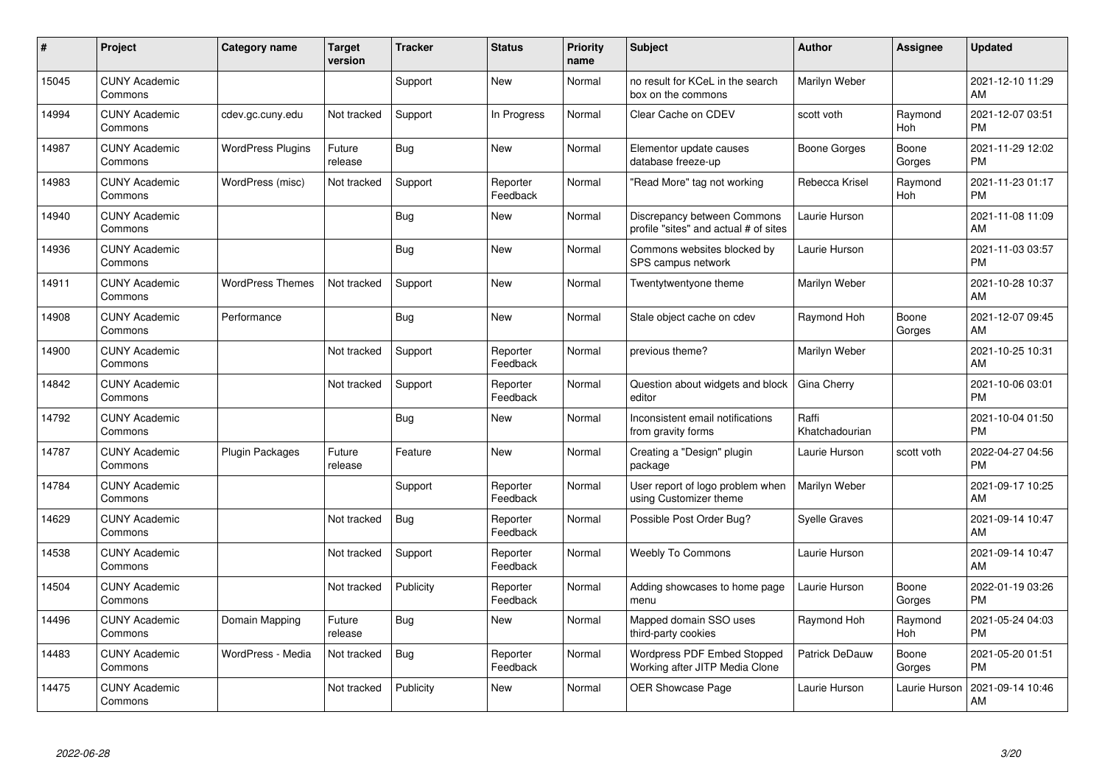| #     | Project                         | <b>Category name</b>     | <b>Target</b><br>version | <b>Tracker</b> | <b>Status</b>        | <b>Priority</b><br>name | <b>Subject</b>                                                       | <b>Author</b>           | <b>Assignee</b>       | <b>Updated</b>                |
|-------|---------------------------------|--------------------------|--------------------------|----------------|----------------------|-------------------------|----------------------------------------------------------------------|-------------------------|-----------------------|-------------------------------|
| 15045 | <b>CUNY Academic</b><br>Commons |                          |                          | Support        | <b>New</b>           | Normal                  | no result for KCeL in the search<br>box on the commons               | Marilyn Weber           |                       | 2021-12-10 11:29<br>AM        |
| 14994 | <b>CUNY Academic</b><br>Commons | cdev.gc.cuny.edu         | Not tracked              | Support        | In Progress          | Normal                  | Clear Cache on CDEV                                                  | scott voth              | Raymond<br><b>Hoh</b> | 2021-12-07 03:51<br><b>PM</b> |
| 14987 | <b>CUNY Academic</b><br>Commons | <b>WordPress Plugins</b> | Future<br>release        | Bug            | <b>New</b>           | Normal                  | Elementor update causes<br>database freeze-up                        | <b>Boone Gorges</b>     | Boone<br>Gorges       | 2021-11-29 12:02<br><b>PM</b> |
| 14983 | <b>CUNY Academic</b><br>Commons | WordPress (misc)         | Not tracked              | Support        | Reporter<br>Feedback | Normal                  | 'Read More" tag not working                                          | Rebecca Krisel          | Raymond<br>Hoh        | 2021-11-23 01:17<br><b>PM</b> |
| 14940 | <b>CUNY Academic</b><br>Commons |                          |                          | Bug            | <b>New</b>           | Normal                  | Discrepancy between Commons<br>profile "sites" and actual # of sites | Laurie Hurson           |                       | 2021-11-08 11:09<br>AM        |
| 14936 | <b>CUNY Academic</b><br>Commons |                          |                          | Bug            | <b>New</b>           | Normal                  | Commons websites blocked by<br>SPS campus network                    | Laurie Hurson           |                       | 2021-11-03 03:57<br><b>PM</b> |
| 14911 | <b>CUNY Academic</b><br>Commons | <b>WordPress Themes</b>  | Not tracked              | Support        | <b>New</b>           | Normal                  | Twentytwentyone theme                                                | Marilyn Weber           |                       | 2021-10-28 10:37<br>AM        |
| 14908 | <b>CUNY Academic</b><br>Commons | Performance              |                          | Bug            | <b>New</b>           | Normal                  | Stale object cache on cdev                                           | Raymond Hoh             | Boone<br>Gorges       | 2021-12-07 09:45<br>AM        |
| 14900 | <b>CUNY Academic</b><br>Commons |                          | Not tracked              | Support        | Reporter<br>Feedback | Normal                  | previous theme?                                                      | Marilyn Weber           |                       | 2021-10-25 10:31<br>AM        |
| 14842 | <b>CUNY Academic</b><br>Commons |                          | Not tracked              | Support        | Reporter<br>Feedback | Normal                  | Question about widgets and block<br>editor                           | Gina Cherry             |                       | 2021-10-06 03:01<br><b>PM</b> |
| 14792 | <b>CUNY Academic</b><br>Commons |                          |                          | Bug            | <b>New</b>           | Normal                  | Inconsistent email notifications<br>from gravity forms               | Raffi<br>Khatchadourian |                       | 2021-10-04 01:50<br><b>PM</b> |
| 14787 | <b>CUNY Academic</b><br>Commons | <b>Plugin Packages</b>   | Future<br>release        | Feature        | New                  | Normal                  | Creating a "Design" plugin<br>package                                | Laurie Hurson           | scott voth            | 2022-04-27 04:56<br><b>PM</b> |
| 14784 | <b>CUNY Academic</b><br>Commons |                          |                          | Support        | Reporter<br>Feedback | Normal                  | User report of logo problem when<br>using Customizer theme           | Marilyn Weber           |                       | 2021-09-17 10:25<br>AM        |
| 14629 | <b>CUNY Academic</b><br>Commons |                          | Not tracked              | Bug            | Reporter<br>Feedback | Normal                  | Possible Post Order Bug?                                             | <b>Syelle Graves</b>    |                       | 2021-09-14 10:47<br>AM        |
| 14538 | <b>CUNY Academic</b><br>Commons |                          | Not tracked              | Support        | Reporter<br>Feedback | Normal                  | <b>Weebly To Commons</b>                                             | Laurie Hurson           |                       | 2021-09-14 10:47<br>AM        |
| 14504 | <b>CUNY Academic</b><br>Commons |                          | Not tracked              | Publicity      | Reporter<br>Feedback | Normal                  | Adding showcases to home page<br>menu                                | Laurie Hurson           | Boone<br>Gorges       | 2022-01-19 03:26<br><b>PM</b> |
| 14496 | <b>CUNY Academic</b><br>Commons | Domain Mapping           | Future<br>release        | Bug            | New                  | Normal                  | Mapped domain SSO uses<br>third-party cookies                        | Raymond Hoh             | Raymond<br><b>Hoh</b> | 2021-05-24 04:03<br><b>PM</b> |
| 14483 | <b>CUNY Academic</b><br>Commons | WordPress - Media        | Not tracked              | <b>Bug</b>     | Reporter<br>Feedback | Normal                  | Wordpress PDF Embed Stopped<br>Working after JITP Media Clone        | <b>Patrick DeDauw</b>   | Boone<br>Gorges       | 2021-05-20 01:51<br><b>PM</b> |
| 14475 | <b>CUNY Academic</b><br>Commons |                          | Not tracked              | Publicity      | <b>New</b>           | Normal                  | <b>OER Showcase Page</b>                                             | Laurie Hurson           | Laurie Hurson         | 2021-09-14 10:46<br>AM        |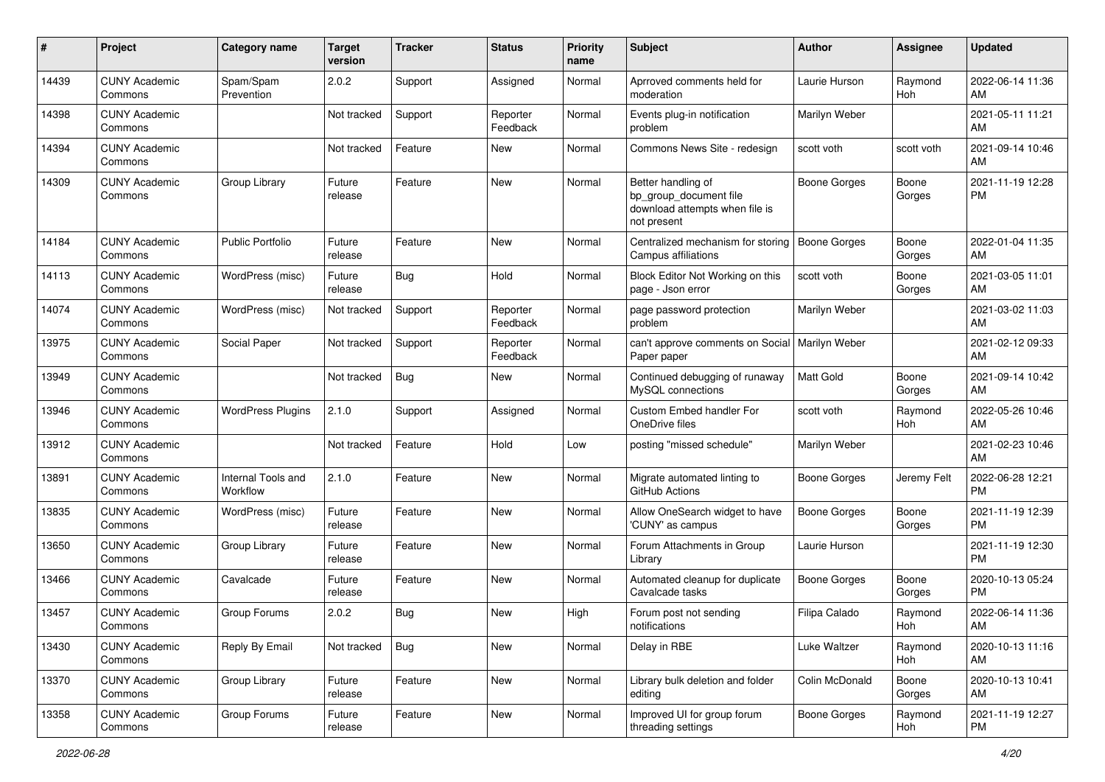| #     | Project                         | <b>Category name</b>           | Target<br>version | <b>Tracker</b> | <b>Status</b>        | <b>Priority</b><br>name | Subject                                                                                       | <b>Author</b>       | <b>Assignee</b> | <b>Updated</b>                |
|-------|---------------------------------|--------------------------------|-------------------|----------------|----------------------|-------------------------|-----------------------------------------------------------------------------------------------|---------------------|-----------------|-------------------------------|
| 14439 | <b>CUNY Academic</b><br>Commons | Spam/Spam<br>Prevention        | 2.0.2             | Support        | Assigned             | Normal                  | Aprroved comments held for<br>moderation                                                      | Laurie Hurson       | Raymond<br>Hoh  | 2022-06-14 11:36<br>AM        |
| 14398 | <b>CUNY Academic</b><br>Commons |                                | Not tracked       | Support        | Reporter<br>Feedback | Normal                  | Events plug-in notification<br>problem                                                        | Marilyn Weber       |                 | 2021-05-11 11:21<br>AM        |
| 14394 | <b>CUNY Academic</b><br>Commons |                                | Not tracked       | Feature        | New                  | Normal                  | Commons News Site - redesign                                                                  | scott voth          | scott voth      | 2021-09-14 10:46<br>AM        |
| 14309 | <b>CUNY Academic</b><br>Commons | Group Library                  | Future<br>release | Feature        | New                  | Normal                  | Better handling of<br>bp_group_document file<br>download attempts when file is<br>not present | <b>Boone Gorges</b> | Boone<br>Gorges | 2021-11-19 12:28<br><b>PM</b> |
| 14184 | <b>CUNY Academic</b><br>Commons | <b>Public Portfolio</b>        | Future<br>release | Feature        | New                  | Normal                  | Centralized mechanism for storing<br>Campus affiliations                                      | <b>Boone Gorges</b> | Boone<br>Gorges | 2022-01-04 11:35<br>AM        |
| 14113 | <b>CUNY Academic</b><br>Commons | WordPress (misc)               | Future<br>release | Bug            | Hold                 | Normal                  | Block Editor Not Working on this<br>page - Json error                                         | scott voth          | Boone<br>Gorges | 2021-03-05 11:01<br>AM        |
| 14074 | <b>CUNY Academic</b><br>Commons | WordPress (misc)               | Not tracked       | Support        | Reporter<br>Feedback | Normal                  | page password protection<br>problem                                                           | Marilyn Weber       |                 | 2021-03-02 11:03<br>AM        |
| 13975 | <b>CUNY Academic</b><br>Commons | Social Paper                   | Not tracked       | Support        | Reporter<br>Feedback | Normal                  | can't approve comments on Social   Marilyn Weber<br>Paper paper                               |                     |                 | 2021-02-12 09:33<br>AM        |
| 13949 | <b>CUNY Academic</b><br>Commons |                                | Not tracked       | <b>Bug</b>     | New                  | Normal                  | Continued debugging of runaway<br>MySQL connections                                           | <b>Matt Gold</b>    | Boone<br>Gorges | 2021-09-14 10:42<br>AM        |
| 13946 | <b>CUNY Academic</b><br>Commons | <b>WordPress Plugins</b>       | 2.1.0             | Support        | Assigned             | Normal                  | Custom Embed handler For<br>OneDrive files                                                    | scott voth          | Raymond<br>Hoh  | 2022-05-26 10:46<br>AM        |
| 13912 | <b>CUNY Academic</b><br>Commons |                                | Not tracked       | Feature        | Hold                 | Low                     | posting "missed schedule"                                                                     | Marilyn Weber       |                 | 2021-02-23 10:46<br>AM        |
| 13891 | <b>CUNY Academic</b><br>Commons | Internal Tools and<br>Workflow | 2.1.0             | Feature        | <b>New</b>           | Normal                  | Migrate automated linting to<br>GitHub Actions                                                | Boone Gorges        | Jeremy Felt     | 2022-06-28 12:21<br><b>PM</b> |
| 13835 | <b>CUNY Academic</b><br>Commons | WordPress (misc)               | Future<br>release | Feature        | <b>New</b>           | Normal                  | Allow OneSearch widget to have<br>'CUNY' as campus                                            | Boone Gorges        | Boone<br>Gorges | 2021-11-19 12:39<br><b>PM</b> |
| 13650 | <b>CUNY Academic</b><br>Commons | Group Library                  | Future<br>release | Feature        | New                  | Normal                  | Forum Attachments in Group<br>Library                                                         | Laurie Hurson       |                 | 2021-11-19 12:30<br><b>PM</b> |
| 13466 | <b>CUNY Academic</b><br>Commons | Cavalcade                      | Future<br>release | Feature        | New                  | Normal                  | Automated cleanup for duplicate<br>Cavalcade tasks                                            | <b>Boone Gorges</b> | Boone<br>Gorges | 2020-10-13 05:24<br><b>PM</b> |
| 13457 | <b>CUNY Academic</b><br>Commons | Group Forums                   | 2.0.2             | Bug            | New                  | High                    | Forum post not sending<br>notifications                                                       | Filipa Calado       | Raymond<br>Hoh  | 2022-06-14 11:36<br>AM        |
| 13430 | <b>CUNY Academic</b><br>Commons | Reply By Email                 | Not tracked       | <b>Bug</b>     | New                  | Normal                  | Delay in RBE                                                                                  | Luke Waltzer        | Raymond<br>Hoh  | 2020-10-13 11:16<br>AM        |
| 13370 | <b>CUNY Academic</b><br>Commons | Group Library                  | Future<br>release | Feature        | New                  | Normal                  | Library bulk deletion and folder<br>editing                                                   | Colin McDonald      | Boone<br>Gorges | 2020-10-13 10:41<br>AM        |
| 13358 | <b>CUNY Academic</b><br>Commons | Group Forums                   | Future<br>release | Feature        | New                  | Normal                  | Improved UI for group forum<br>threading settings                                             | <b>Boone Gorges</b> | Raymond<br>Hoh  | 2021-11-19 12:27<br>PM        |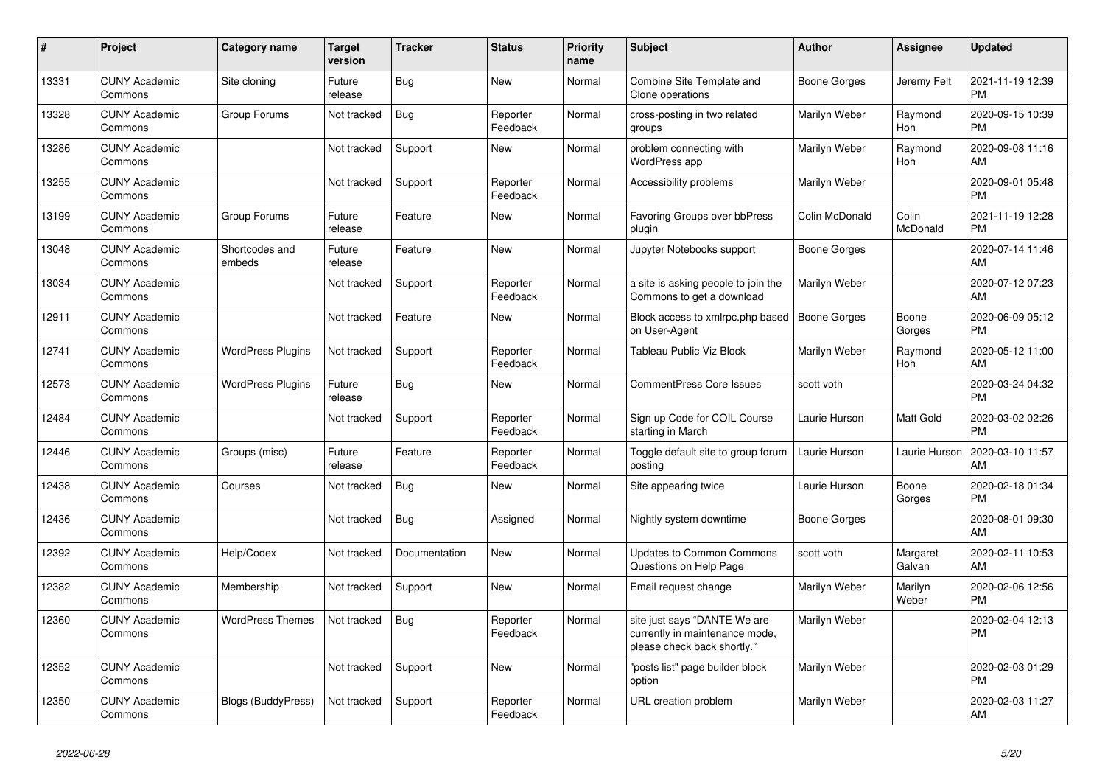| #     | Project                         | <b>Category name</b>      | <b>Target</b><br>version | <b>Tracker</b> | <b>Status</b>        | Priority<br>name | <b>Subject</b>                                                                                | <b>Author</b>       | Assignee              | <b>Updated</b>                |
|-------|---------------------------------|---------------------------|--------------------------|----------------|----------------------|------------------|-----------------------------------------------------------------------------------------------|---------------------|-----------------------|-------------------------------|
| 13331 | <b>CUNY Academic</b><br>Commons | Site cloning              | Future<br>release        | <b>Bug</b>     | <b>New</b>           | Normal           | Combine Site Template and<br>Clone operations                                                 | Boone Gorges        | Jeremy Felt           | 2021-11-19 12:39<br><b>PM</b> |
| 13328 | <b>CUNY Academic</b><br>Commons | Group Forums              | Not tracked              | Bug            | Reporter<br>Feedback | Normal           | cross-posting in two related<br>groups                                                        | Marilyn Weber       | Raymond<br><b>Hoh</b> | 2020-09-15 10:39<br><b>PM</b> |
| 13286 | <b>CUNY Academic</b><br>Commons |                           | Not tracked              | Support        | New                  | Normal           | problem connecting with<br>WordPress app                                                      | Marilyn Weber       | Raymond<br>Hoh        | 2020-09-08 11:16<br>AM        |
| 13255 | <b>CUNY Academic</b><br>Commons |                           | Not tracked              | Support        | Reporter<br>Feedback | Normal           | Accessibility problems                                                                        | Marilyn Weber       |                       | 2020-09-01 05:48<br><b>PM</b> |
| 13199 | <b>CUNY Academic</b><br>Commons | Group Forums              | Future<br>release        | Feature        | <b>New</b>           | Normal           | <b>Favoring Groups over bbPress</b><br>plugin                                                 | Colin McDonald      | Colin<br>McDonald     | 2021-11-19 12:28<br><b>PM</b> |
| 13048 | <b>CUNY Academic</b><br>Commons | Shortcodes and<br>embeds  | Future<br>release        | Feature        | New                  | Normal           | Jupyter Notebooks support                                                                     | <b>Boone Gorges</b> |                       | 2020-07-14 11:46<br>AM        |
| 13034 | <b>CUNY Academic</b><br>Commons |                           | Not tracked              | Support        | Reporter<br>Feedback | Normal           | a site is asking people to join the<br>Commons to get a download                              | Marilyn Weber       |                       | 2020-07-12 07:23<br>AM        |
| 12911 | <b>CUNY Academic</b><br>Commons |                           | Not tracked              | Feature        | <b>New</b>           | Normal           | Block access to xmlrpc.php based<br>on User-Agent                                             | <b>Boone Gorges</b> | Boone<br>Gorges       | 2020-06-09 05:12<br><b>PM</b> |
| 12741 | <b>CUNY Academic</b><br>Commons | <b>WordPress Plugins</b>  | Not tracked              | Support        | Reporter<br>Feedback | Normal           | <b>Tableau Public Viz Block</b>                                                               | Marilyn Weber       | Raymond<br>Hoh        | 2020-05-12 11:00<br>AM        |
| 12573 | <b>CUNY Academic</b><br>Commons | <b>WordPress Plugins</b>  | Future<br>release        | Bug            | <b>New</b>           | Normal           | <b>CommentPress Core Issues</b>                                                               | scott voth          |                       | 2020-03-24 04:32<br><b>PM</b> |
| 12484 | <b>CUNY Academic</b><br>Commons |                           | Not tracked              | Support        | Reporter<br>Feedback | Normal           | Sign up Code for COIL Course<br>starting in March                                             | Laurie Hurson       | <b>Matt Gold</b>      | 2020-03-02 02:26<br><b>PM</b> |
| 12446 | <b>CUNY Academic</b><br>Commons | Groups (misc)             | Future<br>release        | Feature        | Reporter<br>Feedback | Normal           | Toggle default site to group forum<br>posting                                                 | Laurie Hurson       | Laurie Hurson         | 2020-03-10 11:57<br>AM        |
| 12438 | <b>CUNY Academic</b><br>Commons | Courses                   | Not tracked              | Bug            | <b>New</b>           | Normal           | Site appearing twice                                                                          | Laurie Hurson       | Boone<br>Gorges       | 2020-02-18 01:34<br><b>PM</b> |
| 12436 | <b>CUNY Academic</b><br>Commons |                           | Not tracked              | Bug            | Assigned             | Normal           | Nightly system downtime                                                                       | Boone Gorges        |                       | 2020-08-01 09:30<br>AM        |
| 12392 | <b>CUNY Academic</b><br>Commons | Help/Codex                | Not tracked              | Documentation  | <b>New</b>           | Normal           | <b>Updates to Common Commons</b><br>Questions on Help Page                                    | scott voth          | Margaret<br>Galvan    | 2020-02-11 10:53<br>AM        |
| 12382 | <b>CUNY Academic</b><br>Commons | Membership                | Not tracked              | Support        | <b>New</b>           | Normal           | Email request change                                                                          | Marilyn Weber       | Marilyn<br>Weber      | 2020-02-06 12:56<br><b>PM</b> |
| 12360 | <b>CUNY Academic</b><br>Commons | <b>WordPress Themes</b>   | Not tracked              | <b>Bug</b>     | Reporter<br>Feedback | Normal           | site just says "DANTE We are<br>currently in maintenance mode,<br>please check back shortly." | Marilyn Weber       |                       | 2020-02-04 12:13<br><b>PM</b> |
| 12352 | <b>CUNY Academic</b><br>Commons |                           | Not tracked              | Support        | <b>New</b>           | Normal           | "posts list" page builder block<br>option                                                     | Marilyn Weber       |                       | 2020-02-03 01:29<br><b>PM</b> |
| 12350 | <b>CUNY Academic</b><br>Commons | <b>Blogs (BuddyPress)</b> | Not tracked              | Support        | Reporter<br>Feedback | Normal           | URL creation problem                                                                          | Marilyn Weber       |                       | 2020-02-03 11:27<br>AM        |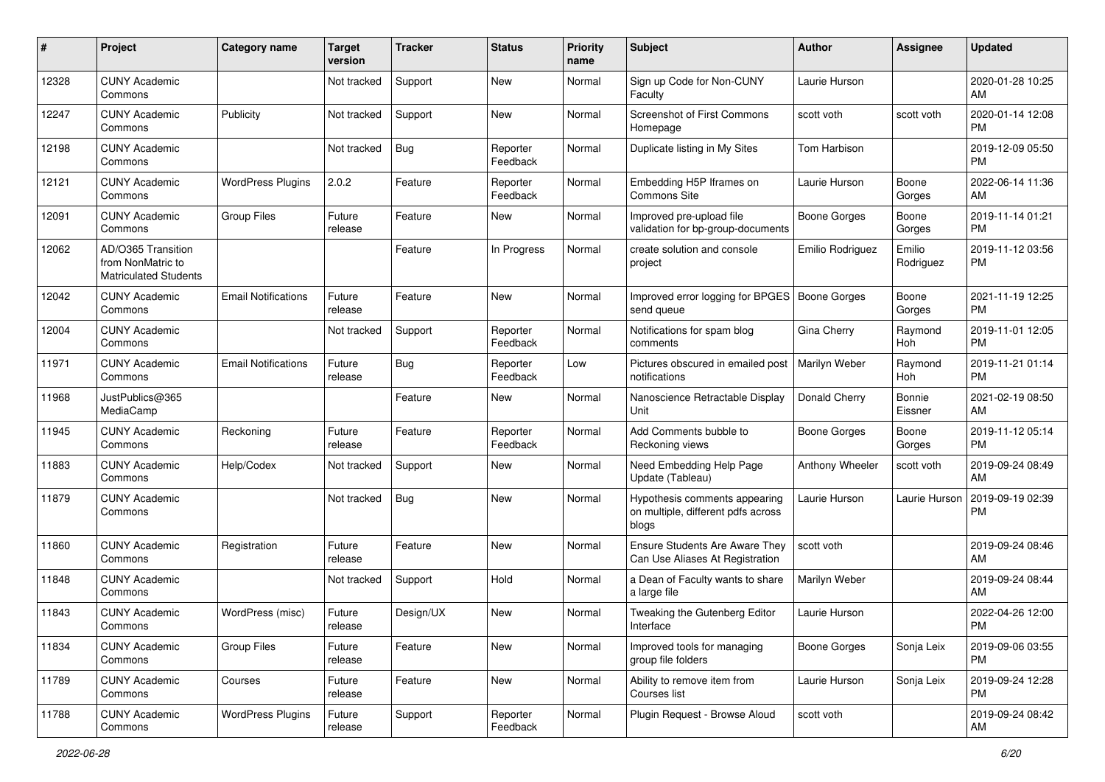| #     | Project                                                                 | <b>Category name</b>       | <b>Target</b><br>version | <b>Tracker</b> | <b>Status</b>        | <b>Priority</b><br>name | Subject                                                                      | Author              | <b>Assignee</b>     | <b>Updated</b>                |
|-------|-------------------------------------------------------------------------|----------------------------|--------------------------|----------------|----------------------|-------------------------|------------------------------------------------------------------------------|---------------------|---------------------|-------------------------------|
| 12328 | <b>CUNY Academic</b><br>Commons                                         |                            | Not tracked              | Support        | <b>New</b>           | Normal                  | Sign up Code for Non-CUNY<br>Faculty                                         | Laurie Hurson       |                     | 2020-01-28 10:25<br>AM        |
| 12247 | <b>CUNY Academic</b><br>Commons                                         | Publicity                  | Not tracked              | Support        | New                  | Normal                  | <b>Screenshot of First Commons</b><br>Homepage                               | scott voth          | scott voth          | 2020-01-14 12:08<br><b>PM</b> |
| 12198 | <b>CUNY Academic</b><br>Commons                                         |                            | Not tracked              | Bug            | Reporter<br>Feedback | Normal                  | Duplicate listing in My Sites                                                | Tom Harbison        |                     | 2019-12-09 05:50<br>PM        |
| 12121 | <b>CUNY Academic</b><br>Commons                                         | <b>WordPress Plugins</b>   | 2.0.2                    | Feature        | Reporter<br>Feedback | Normal                  | Embedding H5P Iframes on<br>Commons Site                                     | Laurie Hurson       | Boone<br>Gorges     | 2022-06-14 11:36<br>AM        |
| 12091 | <b>CUNY Academic</b><br>Commons                                         | <b>Group Files</b>         | Future<br>release        | Feature        | New                  | Normal                  | Improved pre-upload file<br>validation for bp-group-documents                | Boone Gorges        | Boone<br>Gorges     | 2019-11-14 01:21<br><b>PM</b> |
| 12062 | AD/O365 Transition<br>from NonMatric to<br><b>Matriculated Students</b> |                            |                          | Feature        | In Progress          | Normal                  | create solution and console<br>project                                       | Emilio Rodriguez    | Emilio<br>Rodriguez | 2019-11-12 03:56<br>PM        |
| 12042 | <b>CUNY Academic</b><br>Commons                                         | <b>Email Notifications</b> | Future<br>release        | Feature        | New                  | Normal                  | Improved error logging for BPGES   Boone Gorges<br>send queue                |                     | Boone<br>Gorges     | 2021-11-19 12:25<br><b>PM</b> |
| 12004 | <b>CUNY Academic</b><br>Commons                                         |                            | Not tracked              | Support        | Reporter<br>Feedback | Normal                  | Notifications for spam blog<br>comments                                      | Gina Cherry         | Raymond<br>Hoh      | 2019-11-01 12:05<br><b>PM</b> |
| 11971 | <b>CUNY Academic</b><br>Commons                                         | <b>Email Notifications</b> | Future<br>release        | Bug            | Reporter<br>Feedback | Low                     | Pictures obscured in emailed post<br>notifications                           | Marilyn Weber       | Raymond<br>Hoh      | 2019-11-21 01:14<br>PM        |
| 11968 | JustPublics@365<br>MediaCamp                                            |                            |                          | Feature        | <b>New</b>           | Normal                  | Nanoscience Retractable Display<br>Unit                                      | Donald Cherry       | Bonnie<br>Eissner   | 2021-02-19 08:50<br>AM        |
| 11945 | <b>CUNY Academic</b><br>Commons                                         | Reckoning                  | Future<br>release        | Feature        | Reporter<br>Feedback | Normal                  | Add Comments bubble to<br>Reckoning views                                    | <b>Boone Gorges</b> | Boone<br>Gorges     | 2019-11-12 05:14<br>PM        |
| 11883 | <b>CUNY Academic</b><br>Commons                                         | Help/Codex                 | Not tracked              | Support        | New                  | Normal                  | Need Embedding Help Page<br>Update (Tableau)                                 | Anthony Wheeler     | scott voth          | 2019-09-24 08:49<br>AM        |
| 11879 | <b>CUNY Academic</b><br>Commons                                         |                            | Not tracked              | <b>Bug</b>     | <b>New</b>           | Normal                  | Hypothesis comments appearing<br>on multiple, different pdfs across<br>blogs | Laurie Hurson       | Laurie Hurson       | 2019-09-19 02:39<br><b>PM</b> |
| 11860 | <b>CUNY Academic</b><br>Commons                                         | Registration               | Future<br>release        | Feature        | <b>New</b>           | Normal                  | <b>Ensure Students Are Aware They</b><br>Can Use Aliases At Registration     | scott voth          |                     | 2019-09-24 08:46<br>AM        |
| 11848 | <b>CUNY Academic</b><br>Commons                                         |                            | Not tracked              | Support        | Hold                 | Normal                  | a Dean of Faculty wants to share<br>a large file                             | Marilyn Weber       |                     | 2019-09-24 08:44<br>AM        |
| 11843 | <b>CUNY Academic</b><br>Commons                                         | WordPress (misc)           | Future<br>release        | Design/UX      | <b>New</b>           | Normal                  | Tweaking the Gutenberg Editor<br>Interface                                   | Laurie Hurson       |                     | 2022-04-26 12:00<br>PM        |
| 11834 | <b>CUNY Academic</b><br>Commons                                         | <b>Group Files</b>         | Future<br>release        | Feature        | New                  | Normal                  | Improved tools for managing<br>group file folders                            | <b>Boone Gorges</b> | Sonja Leix          | 2019-09-06 03:55<br>PM        |
| 11789 | <b>CUNY Academic</b><br>Commons                                         | Courses                    | Future<br>release        | Feature        | New                  | Normal                  | Ability to remove item from<br>Courses list                                  | Laurie Hurson       | Sonja Leix          | 2019-09-24 12:28<br><b>PM</b> |
| 11788 | <b>CUNY Academic</b><br>Commons                                         | <b>WordPress Plugins</b>   | Future<br>release        | Support        | Reporter<br>Feedback | Normal                  | Plugin Request - Browse Aloud                                                | scott voth          |                     | 2019-09-24 08:42<br>AM        |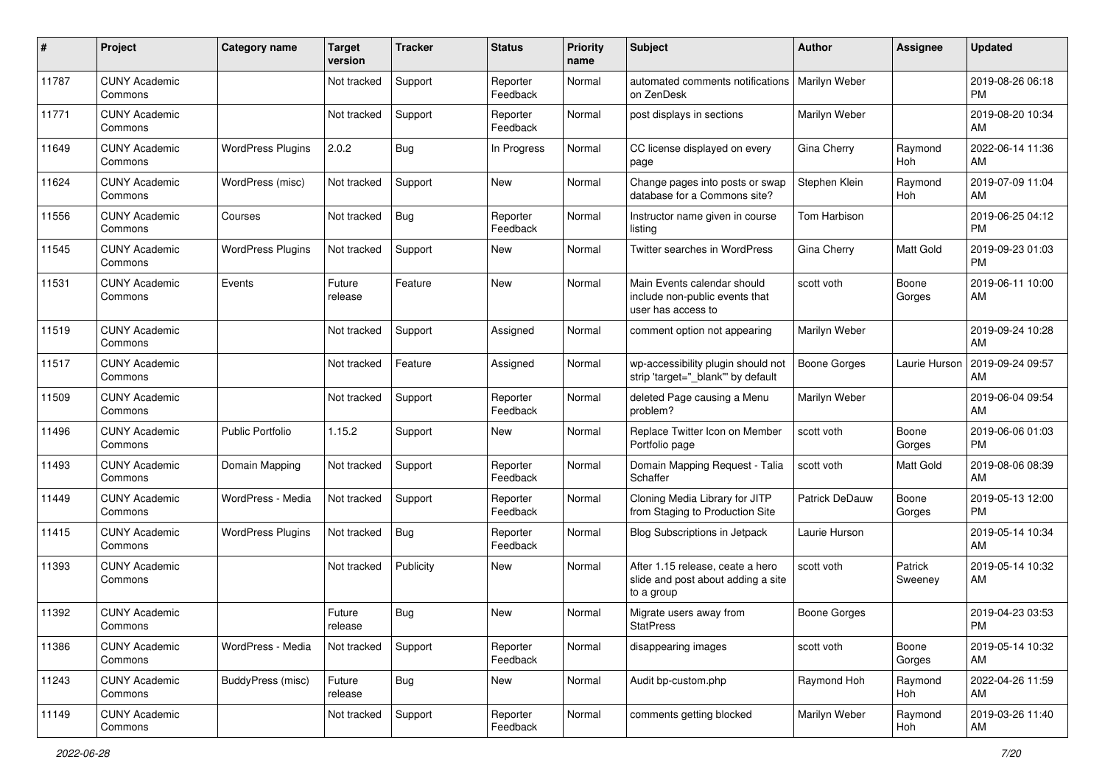| #     | Project                         | <b>Category name</b>     | <b>Target</b><br>version | <b>Tracker</b> | <b>Status</b>        | <b>Priority</b><br>name | Subject                                                                              | Author                | <b>Assignee</b>    | <b>Updated</b>                |
|-------|---------------------------------|--------------------------|--------------------------|----------------|----------------------|-------------------------|--------------------------------------------------------------------------------------|-----------------------|--------------------|-------------------------------|
| 11787 | <b>CUNY Academic</b><br>Commons |                          | Not tracked              | Support        | Reporter<br>Feedback | Normal                  | automated comments notifications   Marilyn Weber<br>on ZenDesk                       |                       |                    | 2019-08-26 06:18<br>PM        |
| 11771 | <b>CUNY Academic</b><br>Commons |                          | Not tracked              | Support        | Reporter<br>Feedback | Normal                  | post displays in sections                                                            | Marilyn Weber         |                    | 2019-08-20 10:34<br>AM        |
| 11649 | <b>CUNY Academic</b><br>Commons | <b>WordPress Plugins</b> | 2.0.2                    | Bug            | In Progress          | Normal                  | CC license displayed on every<br>page                                                | Gina Cherry           | Raymond<br>Hoh     | 2022-06-14 11:36<br>AM        |
| 11624 | <b>CUNY Academic</b><br>Commons | WordPress (misc)         | Not tracked              | Support        | New                  | Normal                  | Change pages into posts or swap<br>database for a Commons site?                      | Stephen Klein         | Raymond<br>Hoh     | 2019-07-09 11:04<br>AM        |
| 11556 | <b>CUNY Academic</b><br>Commons | Courses                  | Not tracked              | <b>Bug</b>     | Reporter<br>Feedback | Normal                  | Instructor name given in course<br>listing                                           | Tom Harbison          |                    | 2019-06-25 04:12<br><b>PM</b> |
| 11545 | <b>CUNY Academic</b><br>Commons | <b>WordPress Plugins</b> | Not tracked              | Support        | New                  | Normal                  | Twitter searches in WordPress                                                        | Gina Cherry           | <b>Matt Gold</b>   | 2019-09-23 01:03<br><b>PM</b> |
| 11531 | <b>CUNY Academic</b><br>Commons | Events                   | Future<br>release        | Feature        | New                  | Normal                  | Main Events calendar should<br>include non-public events that<br>user has access to  | scott voth            | Boone<br>Gorges    | 2019-06-11 10:00<br>AM        |
| 11519 | <b>CUNY Academic</b><br>Commons |                          | Not tracked              | Support        | Assigned             | Normal                  | comment option not appearing                                                         | Marilyn Weber         |                    | 2019-09-24 10:28<br>AM        |
| 11517 | <b>CUNY Academic</b><br>Commons |                          | Not tracked              | Feature        | Assigned             | Normal                  | wp-accessibility plugin should not<br>strip 'target=" blank" by default              | <b>Boone Gorges</b>   | Laurie Hurson      | 2019-09-24 09:57<br>AM        |
| 11509 | <b>CUNY Academic</b><br>Commons |                          | Not tracked              | Support        | Reporter<br>Feedback | Normal                  | deleted Page causing a Menu<br>problem?                                              | Marilyn Weber         |                    | 2019-06-04 09:54<br>AM        |
| 11496 | <b>CUNY Academic</b><br>Commons | <b>Public Portfolio</b>  | 1.15.2                   | Support        | New                  | Normal                  | Replace Twitter Icon on Member<br>Portfolio page                                     | scott voth            | Boone<br>Gorges    | 2019-06-06 01:03<br>PM        |
| 11493 | <b>CUNY Academic</b><br>Commons | Domain Mapping           | Not tracked              | Support        | Reporter<br>Feedback | Normal                  | Domain Mapping Request - Talia<br>Schaffer                                           | scott voth            | Matt Gold          | 2019-08-06 08:39<br>AM        |
| 11449 | <b>CUNY Academic</b><br>Commons | WordPress - Media        | Not tracked              | Support        | Reporter<br>Feedback | Normal                  | Cloning Media Library for JITP<br>from Staging to Production Site                    | <b>Patrick DeDauw</b> | Boone<br>Gorges    | 2019-05-13 12:00<br>PM        |
| 11415 | <b>CUNY Academic</b><br>Commons | <b>WordPress Plugins</b> | Not tracked              | <b>Bug</b>     | Reporter<br>Feedback | Normal                  | <b>Blog Subscriptions in Jetpack</b>                                                 | Laurie Hurson         |                    | 2019-05-14 10:34<br>AM        |
| 11393 | <b>CUNY Academic</b><br>Commons |                          | Not tracked              | Publicity      | New                  | Normal                  | After 1.15 release, ceate a hero<br>slide and post about adding a site<br>to a group | scott voth            | Patrick<br>Sweeney | 2019-05-14 10:32<br>AM        |
| 11392 | <b>CUNY Academic</b><br>Commons |                          | Future<br>release        | Bug            | New                  | Normal                  | Migrate users away from<br><b>StatPress</b>                                          | <b>Boone Gorges</b>   |                    | 2019-04-23 03:53<br>PM        |
| 11386 | <b>CUNY Academic</b><br>Commons | WordPress - Media        | Not tracked              | Support        | Reporter<br>Feedback | Normal                  | disappearing images                                                                  | scott voth            | Boone<br>Gorges    | 2019-05-14 10:32<br>AM        |
| 11243 | <b>CUNY Academic</b><br>Commons | BuddyPress (misc)        | Future<br>release        | <b>Bug</b>     | New                  | Normal                  | Audit bp-custom.php                                                                  | Raymond Hoh           | Raymond<br>Hoh     | 2022-04-26 11:59<br>AM        |
| 11149 | <b>CUNY Academic</b><br>Commons |                          | Not tracked              | Support        | Reporter<br>Feedback | Normal                  | comments getting blocked                                                             | Marilyn Weber         | Raymond<br>Hoh     | 2019-03-26 11:40<br>AM        |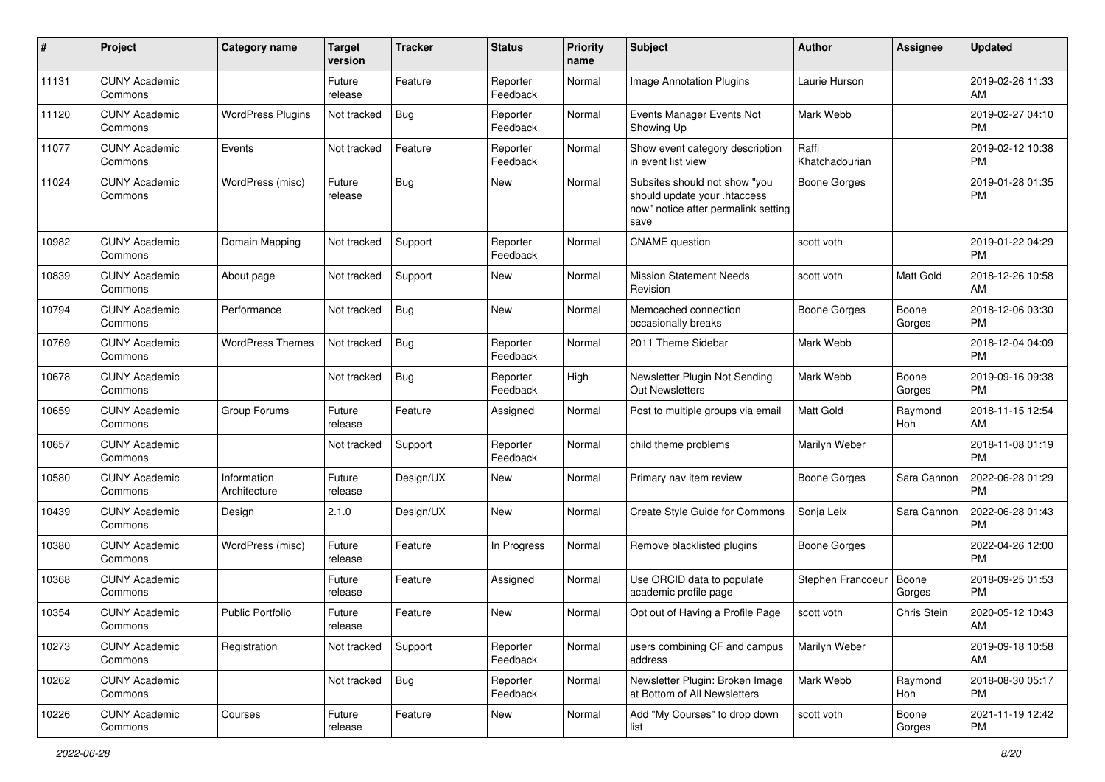| #     | Project                         | <b>Category name</b>        | <b>Target</b><br>version | <b>Tracker</b> | <b>Status</b>        | <b>Priority</b><br>name | <b>Subject</b>                                                                                               | Author                  | <b>Assignee</b>  | <b>Updated</b>                |
|-------|---------------------------------|-----------------------------|--------------------------|----------------|----------------------|-------------------------|--------------------------------------------------------------------------------------------------------------|-------------------------|------------------|-------------------------------|
| 11131 | <b>CUNY Academic</b><br>Commons |                             | Future<br>release        | Feature        | Reporter<br>Feedback | Normal                  | <b>Image Annotation Plugins</b>                                                                              | Laurie Hurson           |                  | 2019-02-26 11:33<br>AM        |
| 11120 | <b>CUNY Academic</b><br>Commons | <b>WordPress Plugins</b>    | Not tracked              | <b>Bug</b>     | Reporter<br>Feedback | Normal                  | Events Manager Events Not<br>Showing Up                                                                      | Mark Webb               |                  | 2019-02-27 04:10<br>PM        |
| 11077 | <b>CUNY Academic</b><br>Commons | Events                      | Not tracked              | Feature        | Reporter<br>Feedback | Normal                  | Show event category description<br>in event list view                                                        | Raffi<br>Khatchadourian |                  | 2019-02-12 10:38<br>РM        |
| 11024 | <b>CUNY Academic</b><br>Commons | WordPress (misc)            | Future<br>release        | Bug            | <b>New</b>           | Normal                  | Subsites should not show "you<br>should update your .htaccess<br>now" notice after permalink setting<br>save | <b>Boone Gorges</b>     |                  | 2019-01-28 01:35<br><b>PM</b> |
| 10982 | <b>CUNY Academic</b><br>Commons | Domain Mapping              | Not tracked              | Support        | Reporter<br>Feedback | Normal                  | <b>CNAME</b> question                                                                                        | scott voth              |                  | 2019-01-22 04:29<br>РM        |
| 10839 | <b>CUNY Academic</b><br>Commons | About page                  | Not tracked              | Support        | <b>New</b>           | Normal                  | <b>Mission Statement Needs</b><br>Revision                                                                   | scott voth              | <b>Matt Gold</b> | 2018-12-26 10:58<br>AM        |
| 10794 | <b>CUNY Academic</b><br>Commons | Performance                 | Not tracked              | <b>Bug</b>     | <b>New</b>           | Normal                  | Memcached connection<br>occasionally breaks                                                                  | Boone Gorges            | Boone<br>Gorges  | 2018-12-06 03:30<br>PM        |
| 10769 | <b>CUNY Academic</b><br>Commons | <b>WordPress Themes</b>     | Not tracked              | <b>Bug</b>     | Reporter<br>Feedback | Normal                  | 2011 Theme Sidebar                                                                                           | Mark Webb               |                  | 2018-12-04 04:09<br>PM        |
| 10678 | <b>CUNY Academic</b><br>Commons |                             | Not tracked              | <b>Bug</b>     | Reporter<br>Feedback | High                    | Newsletter Plugin Not Sending<br>Out Newsletters                                                             | Mark Webb               | Boone<br>Gorges  | 2019-09-16 09:38<br>РM        |
| 10659 | <b>CUNY Academic</b><br>Commons | Group Forums                | Future<br>release        | Feature        | Assigned             | Normal                  | Post to multiple groups via email                                                                            | Matt Gold               | Raymond<br>Hoh   | 2018-11-15 12:54<br>AM        |
| 10657 | <b>CUNY Academic</b><br>Commons |                             | Not tracked              | Support        | Reporter<br>Feedback | Normal                  | child theme problems                                                                                         | Marilyn Weber           |                  | 2018-11-08 01:19<br><b>PM</b> |
| 10580 | <b>CUNY Academic</b><br>Commons | Information<br>Architecture | Future<br>release        | Design/UX      | New                  | Normal                  | Primary nav item review                                                                                      | <b>Boone Gorges</b>     | Sara Cannon      | 2022-06-28 01:29<br><b>PM</b> |
| 10439 | <b>CUNY Academic</b><br>Commons | Design                      | 2.1.0                    | Design/UX      | New                  | Normal                  | Create Style Guide for Commons                                                                               | Sonja Leix              | Sara Cannon      | 2022-06-28 01:43<br>РM        |
| 10380 | <b>CUNY Academic</b><br>Commons | WordPress (misc)            | Future<br>release        | Feature        | In Progress          | Normal                  | Remove blacklisted plugins                                                                                   | <b>Boone Gorges</b>     |                  | 2022-04-26 12:00<br><b>PM</b> |
| 10368 | <b>CUNY Academic</b><br>Commons |                             | Future<br>release        | Feature        | Assigned             | Normal                  | Use ORCID data to populate<br>academic profile page                                                          | Stephen Francoeur       | Boone<br>Gorges  | 2018-09-25 01:53<br><b>PM</b> |
| 10354 | <b>CUNY Academic</b><br>Commons | <b>Public Portfolio</b>     | Future<br>release        | Feature        | New                  | Normal                  | Opt out of Having a Profile Page                                                                             | scott voth              | Chris Stein      | 2020-05-12 10:43<br>AM        |
| 10273 | <b>CUNY Academic</b><br>Commons | Registration                | Not tracked              | Support        | Reporter<br>Feedback | Normal                  | users combining CF and campus<br>address                                                                     | Marilyn Weber           |                  | 2019-09-18 10:58<br>AM        |
| 10262 | <b>CUNY Academic</b><br>Commons |                             | Not tracked              | Bug            | Reporter<br>Feedback | Normal                  | Newsletter Plugin: Broken Image<br>at Bottom of All Newsletters                                              | Mark Webb               | Raymond<br>Hoh   | 2018-08-30 05:17<br><b>PM</b> |
| 10226 | <b>CUNY Academic</b><br>Commons | Courses                     | Future<br>release        | Feature        | New                  | Normal                  | Add "My Courses" to drop down<br>list                                                                        | scott voth              | Boone<br>Gorges  | 2021-11-19 12:42<br><b>PM</b> |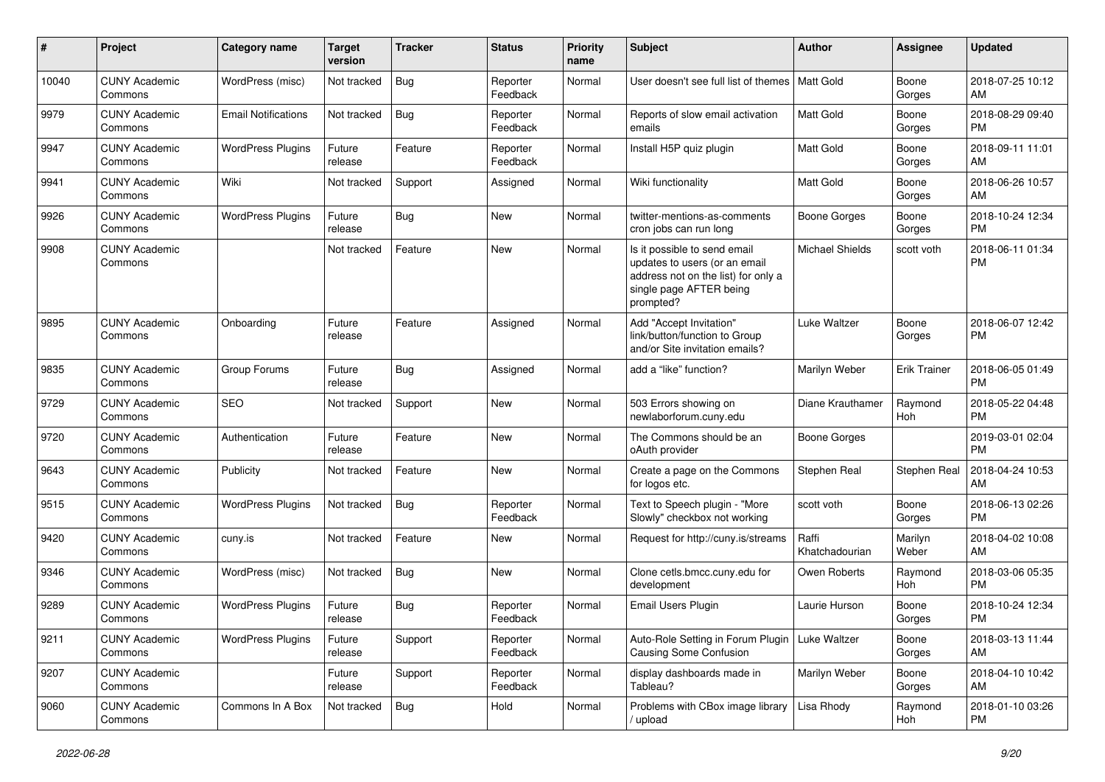| #     | Project                         | <b>Category name</b>       | <b>Target</b><br>version | <b>Tracker</b> | <b>Status</b>        | <b>Priority</b><br>name | Subject                                                                                                                                      | <b>Author</b>           | <b>Assignee</b>     | <b>Updated</b>                |
|-------|---------------------------------|----------------------------|--------------------------|----------------|----------------------|-------------------------|----------------------------------------------------------------------------------------------------------------------------------------------|-------------------------|---------------------|-------------------------------|
| 10040 | <b>CUNY Academic</b><br>Commons | WordPress (misc)           | Not tracked              | Bug            | Reporter<br>Feedback | Normal                  | User doesn't see full list of themes   Matt Gold                                                                                             |                         | Boone<br>Gorges     | 2018-07-25 10:12<br>AM        |
| 9979  | <b>CUNY Academic</b><br>Commons | <b>Email Notifications</b> | Not tracked              | <b>Bug</b>     | Reporter<br>Feedback | Normal                  | Reports of slow email activation<br>emails                                                                                                   | <b>Matt Gold</b>        | Boone<br>Gorges     | 2018-08-29 09:40<br><b>PM</b> |
| 9947  | <b>CUNY Academic</b><br>Commons | <b>WordPress Plugins</b>   | Future<br>release        | Feature        | Reporter<br>Feedback | Normal                  | Install H5P quiz plugin                                                                                                                      | Matt Gold               | Boone<br>Gorges     | 2018-09-11 11:01<br>AM        |
| 9941  | <b>CUNY Academic</b><br>Commons | Wiki                       | Not tracked              | Support        | Assigned             | Normal                  | Wiki functionality                                                                                                                           | <b>Matt Gold</b>        | Boone<br>Gorges     | 2018-06-26 10:57<br>AM        |
| 9926  | <b>CUNY Academic</b><br>Commons | <b>WordPress Plugins</b>   | Future<br>release        | Bug            | New                  | Normal                  | twitter-mentions-as-comments<br>cron jobs can run long                                                                                       | Boone Gorges            | Boone<br>Gorges     | 2018-10-24 12:34<br><b>PM</b> |
| 9908  | <b>CUNY Academic</b><br>Commons |                            | Not tracked              | Feature        | <b>New</b>           | Normal                  | Is it possible to send email<br>updates to users (or an email<br>address not on the list) for only a<br>single page AFTER being<br>prompted? | <b>Michael Shields</b>  | scott voth          | 2018-06-11 01:34<br><b>PM</b> |
| 9895  | <b>CUNY Academic</b><br>Commons | Onboarding                 | Future<br>release        | Feature        | Assigned             | Normal                  | Add "Accept Invitation"<br>link/button/function to Group<br>and/or Site invitation emails?                                                   | Luke Waltzer            | Boone<br>Gorges     | 2018-06-07 12:42<br><b>PM</b> |
| 9835  | <b>CUNY Academic</b><br>Commons | Group Forums               | Future<br>release        | Bug            | Assigned             | Normal                  | add a "like" function?                                                                                                                       | Marilyn Weber           | <b>Erik Trainer</b> | 2018-06-05 01:49<br><b>PM</b> |
| 9729  | <b>CUNY Academic</b><br>Commons | <b>SEO</b>                 | Not tracked              | Support        | <b>New</b>           | Normal                  | 503 Errors showing on<br>newlaborforum.cunv.edu                                                                                              | Diane Krauthamer        | Raymond<br>Hoh      | 2018-05-22 04:48<br><b>PM</b> |
| 9720  | <b>CUNY Academic</b><br>Commons | Authentication             | Future<br>release        | Feature        | <b>New</b>           | Normal                  | The Commons should be an<br>oAuth provider                                                                                                   | <b>Boone Gorges</b>     |                     | 2019-03-01 02:04<br><b>PM</b> |
| 9643  | <b>CUNY Academic</b><br>Commons | Publicity                  | Not tracked              | Feature        | New                  | Normal                  | Create a page on the Commons<br>for logos etc.                                                                                               | Stephen Real            | Stephen Real        | 2018-04-24 10:53<br>AM        |
| 9515  | <b>CUNY Academic</b><br>Commons | <b>WordPress Plugins</b>   | Not tracked              | Bug            | Reporter<br>Feedback | Normal                  | Text to Speech plugin - "More<br>Slowly" checkbox not working                                                                                | scott voth              | Boone<br>Gorges     | 2018-06-13 02:26<br><b>PM</b> |
| 9420  | <b>CUNY Academic</b><br>Commons | cuny.is                    | Not tracked              | Feature        | New                  | Normal                  | Request for http://cuny.is/streams                                                                                                           | Raffi<br>Khatchadourian | Marilyn<br>Weber    | 2018-04-02 10:08<br>AM        |
| 9346  | <b>CUNY Academic</b><br>Commons | WordPress (misc)           | Not tracked              | <b>Bug</b>     | New                  | Normal                  | Clone cetls.bmcc.cuny.edu for<br>development                                                                                                 | Owen Roberts            | Raymond<br>Hoh      | 2018-03-06 05:35<br><b>PM</b> |
| 9289  | <b>CUNY Academic</b><br>Commons | <b>WordPress Plugins</b>   | Future<br>release        | Bug            | Reporter<br>Feedback | Normal                  | <b>Email Users Plugin</b>                                                                                                                    | Laurie Hurson           | Boone<br>Gorges     | 2018-10-24 12:34<br>PM        |
| 9211  | <b>CUNY Academic</b><br>Commons | <b>WordPress Plugins</b>   | Future<br>release        | Support        | Reporter<br>Feedback | Normal                  | Auto-Role Setting in Forum Plugin<br><b>Causing Some Confusion</b>                                                                           | Luke Waltzer            | Boone<br>Gorges     | 2018-03-13 11:44<br>AM        |
| 9207  | <b>CUNY Academic</b><br>Commons |                            | Future<br>release        | Support        | Reporter<br>Feedback | Normal                  | display dashboards made in<br>Tableau?                                                                                                       | Marilyn Weber           | Boone<br>Gorges     | 2018-04-10 10:42<br>AM        |
| 9060  | <b>CUNY Academic</b><br>Commons | Commons In A Box           | Not tracked              | Bug            | Hold                 | Normal                  | Problems with CBox image library<br>/ upload                                                                                                 | Lisa Rhody              | Raymond<br>Hoh      | 2018-01-10 03:26<br>PM        |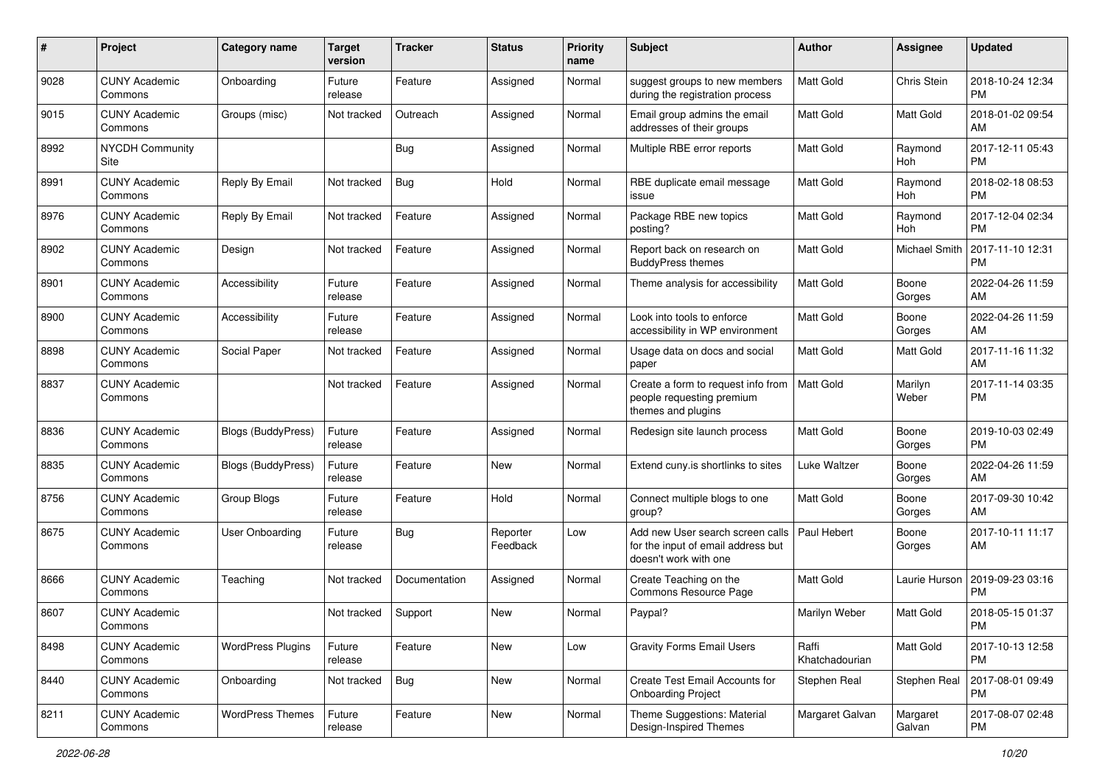| #    | Project                         | <b>Category name</b>      | <b>Target</b><br>version | <b>Tracker</b> | <b>Status</b>        | <b>Priority</b><br>name | Subject                                                                                         | <b>Author</b>           | <b>Assignee</b>    | <b>Updated</b>                |
|------|---------------------------------|---------------------------|--------------------------|----------------|----------------------|-------------------------|-------------------------------------------------------------------------------------------------|-------------------------|--------------------|-------------------------------|
| 9028 | <b>CUNY Academic</b><br>Commons | Onboarding                | Future<br>release        | Feature        | Assigned             | Normal                  | suggest groups to new members<br>during the registration process                                | <b>Matt Gold</b>        | Chris Stein        | 2018-10-24 12:34<br><b>PM</b> |
| 9015 | <b>CUNY Academic</b><br>Commons | Groups (misc)             | Not tracked              | Outreach       | Assigned             | Normal                  | Email group admins the email<br>addresses of their groups                                       | <b>Matt Gold</b>        | <b>Matt Gold</b>   | 2018-01-02 09:54<br>AM        |
| 8992 | <b>NYCDH Community</b><br>Site  |                           |                          | Bug            | Assigned             | Normal                  | Multiple RBE error reports                                                                      | <b>Matt Gold</b>        | Raymond<br>Hoh     | 2017-12-11 05:43<br><b>PM</b> |
| 8991 | <b>CUNY Academic</b><br>Commons | Reply By Email            | Not tracked              | <b>Bug</b>     | Hold                 | Normal                  | RBE duplicate email message<br>issue                                                            | <b>Matt Gold</b>        | Raymond<br>Hoh     | 2018-02-18 08:53<br><b>PM</b> |
| 8976 | <b>CUNY Academic</b><br>Commons | Reply By Email            | Not tracked              | Feature        | Assigned             | Normal                  | Package RBE new topics<br>posting?                                                              | <b>Matt Gold</b>        | Raymond<br>Hoh     | 2017-12-04 02:34<br><b>PM</b> |
| 8902 | <b>CUNY Academic</b><br>Commons | Design                    | Not tracked              | Feature        | Assigned             | Normal                  | Report back on research on<br><b>BuddyPress themes</b>                                          | <b>Matt Gold</b>        | Michael Smith      | 2017-11-10 12:31<br><b>PM</b> |
| 8901 | <b>CUNY Academic</b><br>Commons | Accessibility             | Future<br>release        | Feature        | Assigned             | Normal                  | Theme analysis for accessibility                                                                | Matt Gold               | Boone<br>Gorges    | 2022-04-26 11:59<br>AM        |
| 8900 | <b>CUNY Academic</b><br>Commons | Accessibility             | Future<br>release        | Feature        | Assigned             | Normal                  | Look into tools to enforce<br>accessibility in WP environment                                   | <b>Matt Gold</b>        | Boone<br>Gorges    | 2022-04-26 11:59<br>AM        |
| 8898 | <b>CUNY Academic</b><br>Commons | Social Paper              | Not tracked              | Feature        | Assigned             | Normal                  | Usage data on docs and social<br>paper                                                          | Matt Gold               | Matt Gold          | 2017-11-16 11:32<br>AM        |
| 8837 | <b>CUNY Academic</b><br>Commons |                           | Not tracked              | Feature        | Assigned             | Normal                  | Create a form to request info from<br>people requesting premium<br>themes and plugins           | <b>Matt Gold</b>        | Marilyn<br>Weber   | 2017-11-14 03:35<br><b>PM</b> |
| 8836 | <b>CUNY Academic</b><br>Commons | <b>Blogs (BuddyPress)</b> | Future<br>release        | Feature        | Assigned             | Normal                  | Redesign site launch process                                                                    | Matt Gold               | Boone<br>Gorges    | 2019-10-03 02:49<br><b>PM</b> |
| 8835 | <b>CUNY Academic</b><br>Commons | <b>Blogs (BuddyPress)</b> | Future<br>release        | Feature        | <b>New</b>           | Normal                  | Extend cuny.is shortlinks to sites                                                              | Luke Waltzer            | Boone<br>Gorges    | 2022-04-26 11:59<br>AM        |
| 8756 | <b>CUNY Academic</b><br>Commons | Group Blogs               | Future<br>release        | Feature        | Hold                 | Normal                  | Connect multiple blogs to one<br>group?                                                         | <b>Matt Gold</b>        | Boone<br>Gorges    | 2017-09-30 10:42<br>AM        |
| 8675 | <b>CUNY Academic</b><br>Commons | <b>User Onboarding</b>    | Future<br>release        | Bug            | Reporter<br>Feedback | Low                     | Add new User search screen calls<br>for the input of email address but<br>doesn't work with one | Paul Hebert             | Boone<br>Gorges    | 2017-10-11 11:17<br>AM        |
| 8666 | <b>CUNY Academic</b><br>Commons | Teaching                  | Not tracked              | Documentation  | Assigned             | Normal                  | Create Teaching on the<br>Commons Resource Page                                                 | Matt Gold               | Laurie Hurson      | 2019-09-23 03:16<br><b>PM</b> |
| 8607 | <b>CUNY Academic</b><br>Commons |                           | Not tracked              | Support        | New                  | Normal                  | Paypal?                                                                                         | Marilyn Weber           | <b>Matt Gold</b>   | 2018-05-15 01:37<br>PM        |
| 8498 | <b>CUNY Academic</b><br>Commons | <b>WordPress Plugins</b>  | Future<br>release        | Feature        | New                  | Low                     | <b>Gravity Forms Email Users</b>                                                                | Raffi<br>Khatchadourian | Matt Gold          | 2017-10-13 12:58<br><b>PM</b> |
| 8440 | <b>CUNY Academic</b><br>Commons | Onboarding                | Not tracked              | <b>Bug</b>     | New                  | Normal                  | Create Test Email Accounts for<br><b>Onboarding Project</b>                                     | Stephen Real            | Stephen Real       | 2017-08-01 09:49<br>PM        |
| 8211 | <b>CUNY Academic</b><br>Commons | <b>WordPress Themes</b>   | Future<br>release        | Feature        | New                  | Normal                  | Theme Suggestions: Material<br>Design-Inspired Themes                                           | Margaret Galvan         | Margaret<br>Galvan | 2017-08-07 02:48<br>PM        |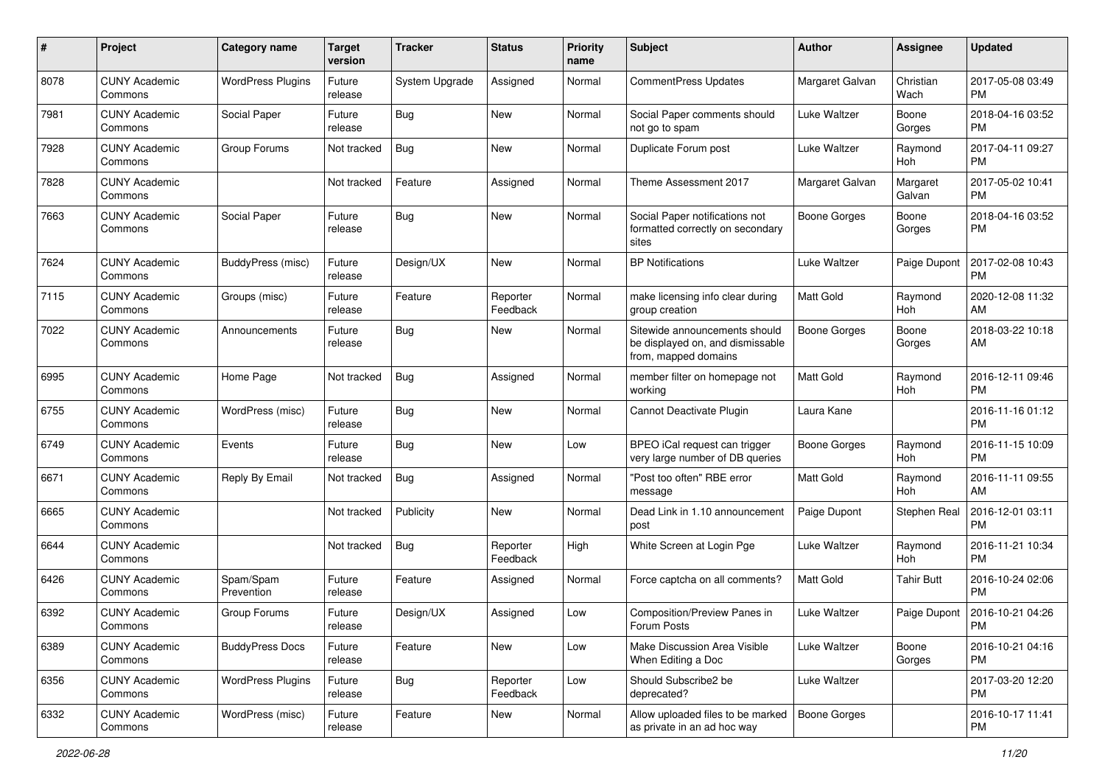| #    | Project                         | <b>Category name</b>     | <b>Target</b><br>version | <b>Tracker</b> | <b>Status</b>        | <b>Priority</b><br>name | Subject                                                                                   | Author              | <b>Assignee</b>    | <b>Updated</b>                |
|------|---------------------------------|--------------------------|--------------------------|----------------|----------------------|-------------------------|-------------------------------------------------------------------------------------------|---------------------|--------------------|-------------------------------|
| 8078 | <b>CUNY Academic</b><br>Commons | <b>WordPress Plugins</b> | Future<br>release        | System Upgrade | Assigned             | Normal                  | CommentPress Updates                                                                      | Margaret Galvan     | Christian<br>Wach  | 2017-05-08 03:49<br><b>PM</b> |
| 7981 | <b>CUNY Academic</b><br>Commons | Social Paper             | Future<br>release        | <b>Bug</b>     | New                  | Normal                  | Social Paper comments should<br>not go to spam                                            | Luke Waltzer        | Boone<br>Gorges    | 2018-04-16 03:52<br><b>PM</b> |
| 7928 | <b>CUNY Academic</b><br>Commons | Group Forums             | Not tracked              | <b>Bug</b>     | New                  | Normal                  | Duplicate Forum post                                                                      | Luke Waltzer        | Raymond<br>Hoh     | 2017-04-11 09:27<br><b>PM</b> |
| 7828 | <b>CUNY Academic</b><br>Commons |                          | Not tracked              | Feature        | Assigned             | Normal                  | Theme Assessment 2017                                                                     | Margaret Galvan     | Margaret<br>Galvan | 2017-05-02 10:41<br><b>PM</b> |
| 7663 | <b>CUNY Academic</b><br>Commons | Social Paper             | Future<br>release        | Bug            | New                  | Normal                  | Social Paper notifications not<br>formatted correctly on secondary<br>sites               | <b>Boone Gorges</b> | Boone<br>Gorges    | 2018-04-16 03:52<br><b>PM</b> |
| 7624 | <b>CUNY Academic</b><br>Commons | BuddyPress (misc)        | Future<br>release        | Design/UX      | <b>New</b>           | Normal                  | <b>BP</b> Notifications                                                                   | Luke Waltzer        | Paige Dupont       | 2017-02-08 10:43<br>PM        |
| 7115 | <b>CUNY Academic</b><br>Commons | Groups (misc)            | Future<br>release        | Feature        | Reporter<br>Feedback | Normal                  | make licensing info clear during<br>group creation                                        | <b>Matt Gold</b>    | Raymond<br>Hoh     | 2020-12-08 11:32<br>AM        |
| 7022 | <b>CUNY Academic</b><br>Commons | Announcements            | Future<br>release        | <b>Bug</b>     | New                  | Normal                  | Sitewide announcements should<br>be displayed on, and dismissable<br>from, mapped domains | <b>Boone Gorges</b> | Boone<br>Gorges    | 2018-03-22 10:18<br>AM        |
| 6995 | <b>CUNY Academic</b><br>Commons | Home Page                | Not tracked              | <b>Bug</b>     | Assigned             | Normal                  | member filter on homepage not<br>working                                                  | Matt Gold           | Raymond<br>Hoh     | 2016-12-11 09:46<br><b>PM</b> |
| 6755 | <b>CUNY Academic</b><br>Commons | WordPress (misc)         | Future<br>release        | <b>Bug</b>     | <b>New</b>           | Normal                  | Cannot Deactivate Plugin                                                                  | Laura Kane          |                    | 2016-11-16 01:12<br><b>PM</b> |
| 6749 | <b>CUNY Academic</b><br>Commons | Events                   | Future<br>release        | <b>Bug</b>     | New                  | Low                     | BPEO iCal request can trigger<br>very large number of DB queries                          | <b>Boone Gorges</b> | Raymond<br>Hoh     | 2016-11-15 10:09<br><b>PM</b> |
| 6671 | <b>CUNY Academic</b><br>Commons | Reply By Email           | Not tracked              | Bug            | Assigned             | Normal                  | "Post too often" RBE error<br>message                                                     | <b>Matt Gold</b>    | Raymond<br>Hoh     | 2016-11-11 09:55<br>AM        |
| 6665 | <b>CUNY Academic</b><br>Commons |                          | Not tracked              | Publicity      | <b>New</b>           | Normal                  | Dead Link in 1.10 announcement<br>post                                                    | Paige Dupont        | Stephen Real       | 2016-12-01 03:11<br><b>PM</b> |
| 6644 | <b>CUNY Academic</b><br>Commons |                          | Not tracked              | <b>Bug</b>     | Reporter<br>Feedback | High                    | White Screen at Login Pge                                                                 | <b>Luke Waltzer</b> | Raymond<br>Hoh     | 2016-11-21 10:34<br><b>PM</b> |
| 6426 | <b>CUNY Academic</b><br>Commons | Spam/Spam<br>Prevention  | Future<br>release        | Feature        | Assigned             | Normal                  | Force captcha on all comments?                                                            | Matt Gold           | <b>Tahir Butt</b>  | 2016-10-24 02:06<br><b>PM</b> |
| 6392 | <b>CUNY Academic</b><br>Commons | Group Forums             | Future<br>release        | Design/UX      | Assigned             | Low                     | Composition/Preview Panes in<br>Forum Posts                                               | Luke Waltzer        | Paige Dupont       | 2016-10-21 04:26<br>PM        |
| 6389 | <b>CUNY Academic</b><br>Commons | <b>BuddyPress Docs</b>   | Future<br>release        | Feature        | New                  | Low                     | Make Discussion Area Visible<br>When Editing a Doc                                        | Luke Waltzer        | Boone<br>Gorges    | 2016-10-21 04:16<br><b>PM</b> |
| 6356 | <b>CUNY Academic</b><br>Commons | <b>WordPress Plugins</b> | Future<br>release        | <b>Bug</b>     | Reporter<br>Feedback | Low                     | Should Subscribe2 be<br>deprecated?                                                       | Luke Waltzer        |                    | 2017-03-20 12:20<br><b>PM</b> |
| 6332 | <b>CUNY Academic</b><br>Commons | WordPress (misc)         | Future<br>release        | Feature        | New                  | Normal                  | Allow uploaded files to be marked<br>as private in an ad hoc way                          | Boone Gorges        |                    | 2016-10-17 11:41<br>PM        |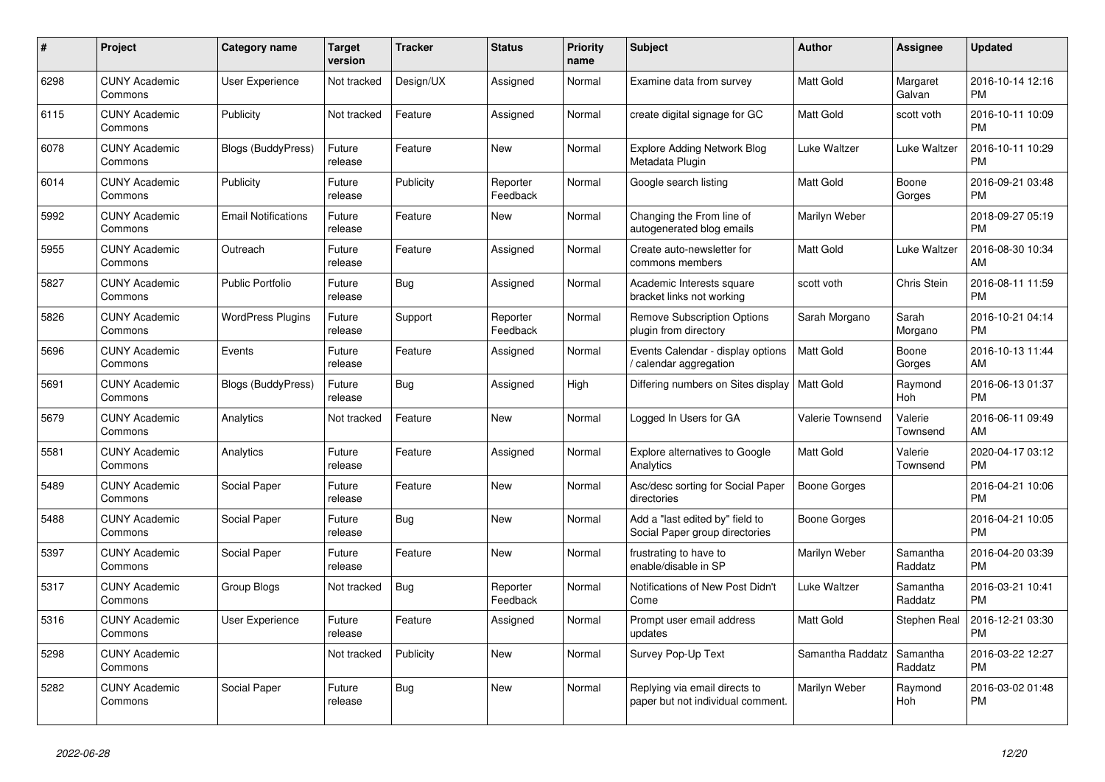| #    | Project                         | Category name              | Target<br>version | Tracker    | <b>Status</b>        | <b>Priority</b><br>name | <b>Subject</b>                                                     | Author              | Assignee              | <b>Updated</b>                |
|------|---------------------------------|----------------------------|-------------------|------------|----------------------|-------------------------|--------------------------------------------------------------------|---------------------|-----------------------|-------------------------------|
| 6298 | <b>CUNY Academic</b><br>Commons | <b>User Experience</b>     | Not tracked       | Design/UX  | Assigned             | Normal                  | Examine data from survey                                           | <b>Matt Gold</b>    | Margaret<br>Galvan    | 2016-10-14 12:16<br><b>PM</b> |
| 6115 | <b>CUNY Academic</b><br>Commons | Publicity                  | Not tracked       | Feature    | Assigned             | Normal                  | create digital signage for GC                                      | Matt Gold           | scott voth            | 2016-10-11 10:09<br>PM        |
| 6078 | <b>CUNY Academic</b><br>Commons | Blogs (BuddyPress)         | Future<br>release | Feature    | <b>New</b>           | Normal                  | <b>Explore Adding Network Blog</b><br>Metadata Plugin              | <b>Luke Waltzer</b> | Luke Waltzer          | 2016-10-11 10:29<br>PM        |
| 6014 | <b>CUNY Academic</b><br>Commons | Publicity                  | Future<br>release | Publicity  | Reporter<br>Feedback | Normal                  | Google search listing                                              | <b>Matt Gold</b>    | Boone<br>Gorges       | 2016-09-21 03:48<br><b>PM</b> |
| 5992 | <b>CUNY Academic</b><br>Commons | <b>Email Notifications</b> | Future<br>release | Feature    | <b>New</b>           | Normal                  | Changing the From line of<br>autogenerated blog emails             | Marilyn Weber       |                       | 2018-09-27 05:19<br>PM        |
| 5955 | <b>CUNY Academic</b><br>Commons | Outreach                   | Future<br>release | Feature    | Assigned             | Normal                  | Create auto-newsletter for<br>commons members                      | <b>Matt Gold</b>    | Luke Waltzer          | 2016-08-30 10:34<br>АM        |
| 5827 | <b>CUNY Academic</b><br>Commons | <b>Public Portfolio</b>    | Future<br>release | <b>Bug</b> | Assigned             | Normal                  | Academic Interests square<br>bracket links not working             | scott voth          | Chris Stein           | 2016-08-11 11:59<br><b>PM</b> |
| 5826 | <b>CUNY Academic</b><br>Commons | <b>WordPress Plugins</b>   | Future<br>release | Support    | Reporter<br>Feedback | Normal                  | <b>Remove Subscription Options</b><br>plugin from directory        | Sarah Morgano       | Sarah<br>Morgano      | 2016-10-21 04:14<br><b>PM</b> |
| 5696 | <b>CUNY Academic</b><br>Commons | Events                     | Future<br>release | Feature    | Assigned             | Normal                  | Events Calendar - display options<br>calendar aggregation          | Matt Gold           | Boone<br>Gorges       | 2016-10-13 11:44<br>AM        |
| 5691 | <b>CUNY Academic</b><br>Commons | Blogs (BuddyPress)         | Future<br>release | <b>Bug</b> | Assigned             | High                    | Differing numbers on Sites display                                 | <b>Matt Gold</b>    | Raymond<br><b>Hoh</b> | 2016-06-13 01:37<br><b>PM</b> |
| 5679 | <b>CUNY Academic</b><br>Commons | Analytics                  | Not tracked       | Feature    | <b>New</b>           | Normal                  | Logged In Users for GA                                             | Valerie Townsend    | Valerie<br>Townsend   | 2016-06-11 09:49<br>AM        |
| 5581 | <b>CUNY Academic</b><br>Commons | Analytics                  | Future<br>release | Feature    | Assigned             | Normal                  | <b>Explore alternatives to Google</b><br>Analytics                 | Matt Gold           | Valerie<br>Townsend   | 2020-04-17 03:12<br><b>PM</b> |
| 5489 | <b>CUNY Academic</b><br>Commons | Social Paper               | Future<br>release | Feature    | <b>New</b>           | Normal                  | Asc/desc sorting for Social Paper<br>directories                   | <b>Boone Gorges</b> |                       | 2016-04-21 10:06<br><b>PM</b> |
| 5488 | <b>CUNY Academic</b><br>Commons | Social Paper               | Future<br>release | <b>Bug</b> | <b>New</b>           | Normal                  | Add a "last edited by" field to<br>Social Paper group directories  | <b>Boone Gorges</b> |                       | 2016-04-21 10:05<br><b>PM</b> |
| 5397 | <b>CUNY Academic</b><br>Commons | Social Paper               | Future<br>release | Feature    | <b>New</b>           | Normal                  | frustrating to have to<br>enable/disable in SP                     | Marilyn Weber       | Samantha<br>Raddatz   | 2016-04-20 03:39<br><b>PM</b> |
| 5317 | <b>CUNY Academic</b><br>Commons | Group Blogs                | Not tracked       | Bug        | Reporter<br>Feedback | Normal                  | Notifications of New Post Didn't<br>Come                           | <b>Luke Waltzer</b> | Samantha<br>Raddatz   | 2016-03-21 10:41<br>РM        |
| 5316 | <b>CUNY Academic</b><br>Commons | User Experience            | Future<br>release | Feature    | Assigned             | Normal                  | Prompt user email address<br>updates                               | Matt Gold           | Stephen Real          | 2016-12-21 03:30<br>PM        |
| 5298 | <b>CUNY Academic</b><br>Commons |                            | Not tracked       | Publicity  | <b>New</b>           | Normal                  | Survey Pop-Up Text                                                 | Samantha Raddatz    | Samantha<br>Raddatz   | 2016-03-22 12:27<br>PМ        |
| 5282 | <b>CUNY Academic</b><br>Commons | Social Paper               | Future<br>release | Bug        | New                  | Normal                  | Replying via email directs to<br>paper but not individual comment. | Marilyn Weber       | Raymond<br><b>Hoh</b> | 2016-03-02 01:48<br>PM        |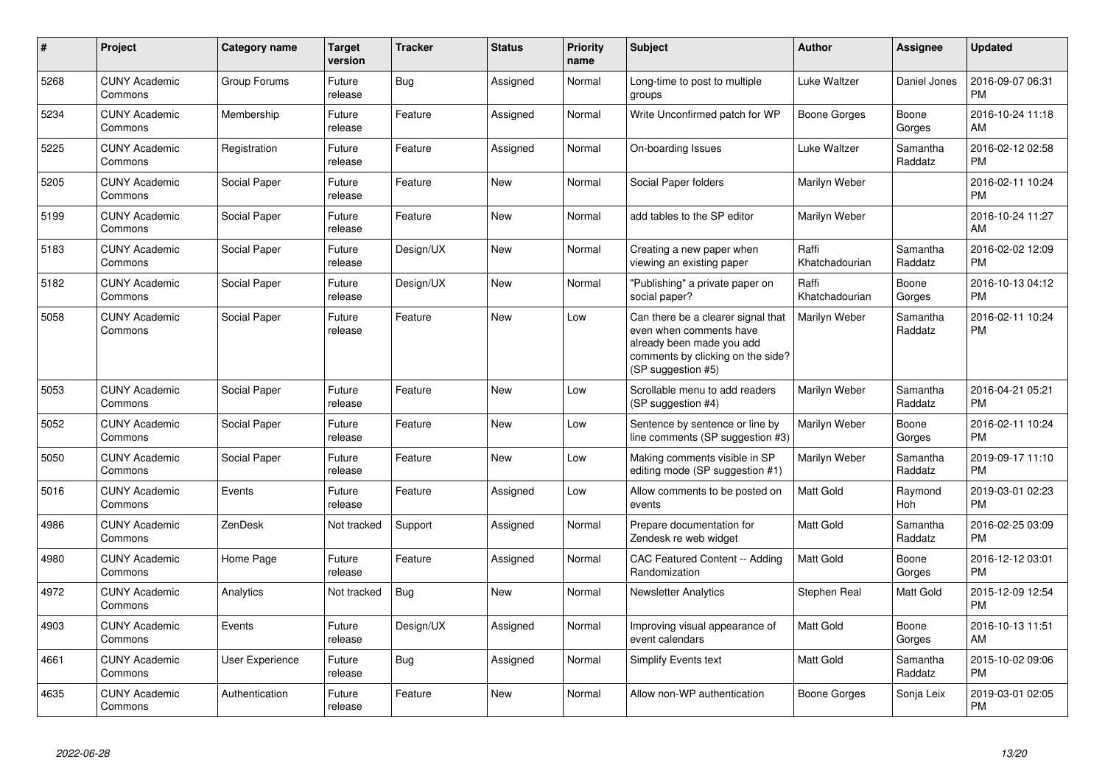| $\pmb{\#}$ | Project                         | <b>Category name</b>   | <b>Target</b><br>version | <b>Tracker</b> | <b>Status</b> | <b>Priority</b><br>name | <b>Subject</b>                                                                                                                                        | Author                  | <b>Assignee</b>     | <b>Updated</b>                |
|------------|---------------------------------|------------------------|--------------------------|----------------|---------------|-------------------------|-------------------------------------------------------------------------------------------------------------------------------------------------------|-------------------------|---------------------|-------------------------------|
| 5268       | <b>CUNY Academic</b><br>Commons | Group Forums           | Future<br>release        | Bug            | Assigned      | Normal                  | Long-time to post to multiple<br>groups                                                                                                               | Luke Waltzer            | Daniel Jones        | 2016-09-07 06:31<br><b>PM</b> |
| 5234       | <b>CUNY Academic</b><br>Commons | Membership             | Future<br>release        | Feature        | Assigned      | Normal                  | Write Unconfirmed patch for WP                                                                                                                        | <b>Boone Gorges</b>     | Boone<br>Gorges     | 2016-10-24 11:18<br>AM        |
| 5225       | <b>CUNY Academic</b><br>Commons | Registration           | Future<br>release        | Feature        | Assigned      | Normal                  | On-boarding Issues                                                                                                                                    | Luke Waltzer            | Samantha<br>Raddatz | 2016-02-12 02:58<br><b>PM</b> |
| 5205       | <b>CUNY Academic</b><br>Commons | Social Paper           | Future<br>release        | Feature        | <b>New</b>    | Normal                  | Social Paper folders                                                                                                                                  | Marilyn Weber           |                     | 2016-02-11 10:24<br><b>PM</b> |
| 5199       | <b>CUNY Academic</b><br>Commons | Social Paper           | Future<br>release        | Feature        | <b>New</b>    | Normal                  | add tables to the SP editor                                                                                                                           | Marilyn Weber           |                     | 2016-10-24 11:27<br>AM        |
| 5183       | <b>CUNY Academic</b><br>Commons | Social Paper           | Future<br>release        | Design/UX      | <b>New</b>    | Normal                  | Creating a new paper when<br>viewing an existing paper                                                                                                | Raffi<br>Khatchadourian | Samantha<br>Raddatz | 2016-02-02 12:09<br><b>PM</b> |
| 5182       | <b>CUNY Academic</b><br>Commons | Social Paper           | Future<br>release        | Design/UX      | New           | Normal                  | 'Publishing" a private paper on<br>social paper?                                                                                                      | Raffi<br>Khatchadourian | Boone<br>Gorges     | 2016-10-13 04:12<br><b>PM</b> |
| 5058       | <b>CUNY Academic</b><br>Commons | Social Paper           | Future<br>release        | Feature        | <b>New</b>    | Low                     | Can there be a clearer signal that<br>even when comments have<br>already been made you add<br>comments by clicking on the side?<br>(SP suggestion #5) | Marilyn Weber           | Samantha<br>Raddatz | 2016-02-11 10:24<br><b>PM</b> |
| 5053       | <b>CUNY Academic</b><br>Commons | Social Paper           | Future<br>release        | Feature        | <b>New</b>    | Low                     | Scrollable menu to add readers<br>(SP suggestion #4)                                                                                                  | Marilyn Weber           | Samantha<br>Raddatz | 2016-04-21 05:21<br><b>PM</b> |
| 5052       | <b>CUNY Academic</b><br>Commons | Social Paper           | Future<br>release        | Feature        | <b>New</b>    | Low                     | Sentence by sentence or line by<br>line comments (SP suggestion #3)                                                                                   | Marilyn Weber           | Boone<br>Gorges     | 2016-02-11 10:24<br><b>PM</b> |
| 5050       | <b>CUNY Academic</b><br>Commons | Social Paper           | Future<br>release        | Feature        | <b>New</b>    | Low                     | Making comments visible in SP<br>editing mode (SP suggestion #1)                                                                                      | Marilyn Weber           | Samantha<br>Raddatz | 2019-09-17 11:10<br><b>PM</b> |
| 5016       | <b>CUNY Academic</b><br>Commons | Events                 | Future<br>release        | Feature        | Assigned      | Low                     | Allow comments to be posted on<br>events                                                                                                              | <b>Matt Gold</b>        | Raymond<br>Hoh      | 2019-03-01 02:23<br><b>PM</b> |
| 4986       | <b>CUNY Academic</b><br>Commons | ZenDesk                | Not tracked              | Support        | Assigned      | Normal                  | Prepare documentation for<br>Zendesk re web widget                                                                                                    | <b>Matt Gold</b>        | Samantha<br>Raddatz | 2016-02-25 03:09<br><b>PM</b> |
| 4980       | <b>CUNY Academic</b><br>Commons | Home Page              | Future<br>release        | Feature        | Assigned      | Normal                  | CAC Featured Content -- Adding<br>Randomization                                                                                                       | <b>Matt Gold</b>        | Boone<br>Gorges     | 2016-12-12 03:01<br><b>PM</b> |
| 4972       | <b>CUNY Academic</b><br>Commons | Analytics              | Not tracked              | Bug            | New           | Normal                  | <b>Newsletter Analytics</b>                                                                                                                           | Stephen Real            | Matt Gold           | 2015-12-09 12:54<br><b>PM</b> |
| 4903       | <b>CUNY Academic</b><br>Commons | Events                 | Future<br>release        | Design/UX      | Assigned      | Normal                  | Improving visual appearance of<br>event calendars                                                                                                     | <b>Matt Gold</b>        | Boone<br>Gorges     | 2016-10-13 11:51<br>AM        |
| 4661       | <b>CUNY Academic</b><br>Commons | <b>User Experience</b> | Future<br>release        | <b>Bug</b>     | Assigned      | Normal                  | <b>Simplify Events text</b>                                                                                                                           | <b>Matt Gold</b>        | Samantha<br>Raddatz | 2015-10-02 09:06<br><b>PM</b> |
| 4635       | <b>CUNY Academic</b><br>Commons | Authentication         | Future<br>release        | Feature        | <b>New</b>    | Normal                  | Allow non-WP authentication                                                                                                                           | Boone Gorges            | Sonja Leix          | 2019-03-01 02:05<br><b>PM</b> |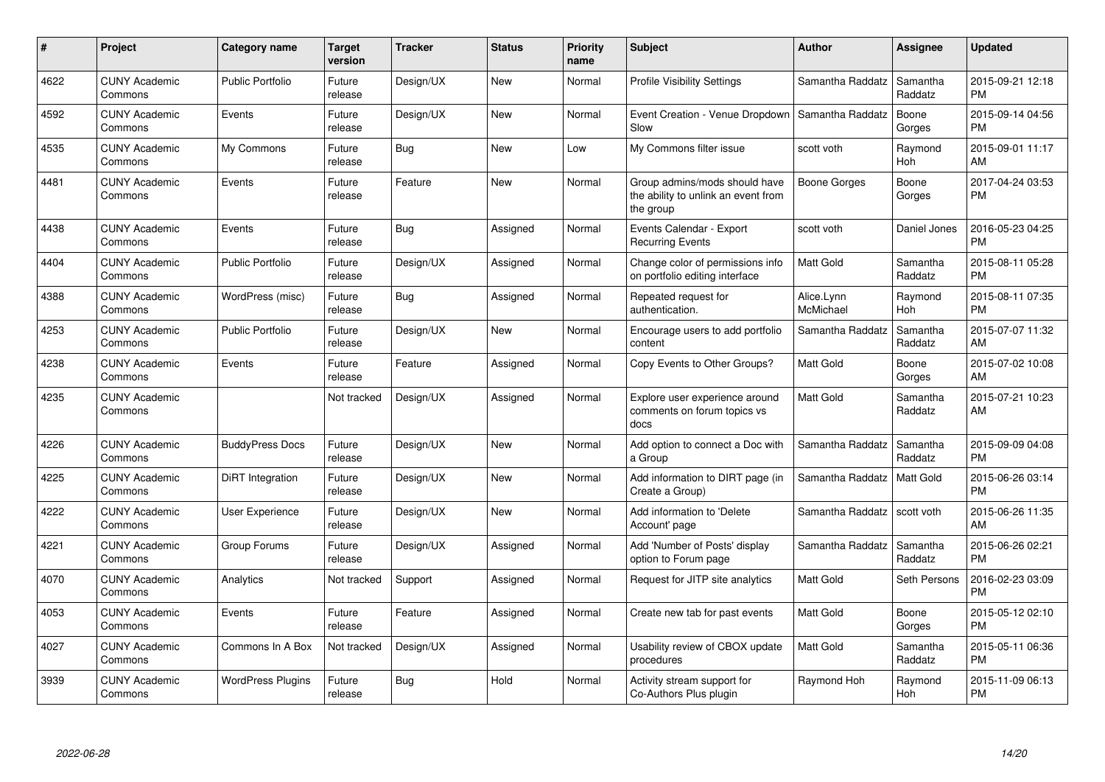| #    | Project                         | <b>Category name</b>     | Target<br>version | <b>Tracker</b> | <b>Status</b> | <b>Priority</b><br>name | <b>Subject</b>                                                                    | <b>Author</b>           | <b>Assignee</b>     | <b>Updated</b>                |
|------|---------------------------------|--------------------------|-------------------|----------------|---------------|-------------------------|-----------------------------------------------------------------------------------|-------------------------|---------------------|-------------------------------|
| 4622 | <b>CUNY Academic</b><br>Commons | <b>Public Portfolio</b>  | Future<br>release | Design/UX      | <b>New</b>    | Normal                  | <b>Profile Visibility Settings</b>                                                | Samantha Raddatz        | Samantha<br>Raddatz | 2015-09-21 12:18<br><b>PM</b> |
| 4592 | <b>CUNY Academic</b><br>Commons | Events                   | Future<br>release | Design/UX      | New           | Normal                  | Event Creation - Venue Dropdown   Samantha Raddatz<br>Slow                        |                         | Boone<br>Gorges     | 2015-09-14 04:56<br><b>PM</b> |
| 4535 | <b>CUNY Academic</b><br>Commons | My Commons               | Future<br>release | <b>Bug</b>     | <b>New</b>    | Low                     | My Commons filter issue                                                           | scott voth              | Raymond<br>Hoh      | 2015-09-01 11:17<br>AM        |
| 4481 | <b>CUNY Academic</b><br>Commons | Events                   | Future<br>release | Feature        | <b>New</b>    | Normal                  | Group admins/mods should have<br>the ability to unlink an event from<br>the group | Boone Gorges            | Boone<br>Gorges     | 2017-04-24 03:53<br><b>PM</b> |
| 4438 | <b>CUNY Academic</b><br>Commons | Events                   | Future<br>release | Bug            | Assigned      | Normal                  | Events Calendar - Export<br><b>Recurring Events</b>                               | scott voth              | Daniel Jones        | 2016-05-23 04:25<br><b>PM</b> |
| 4404 | <b>CUNY Academic</b><br>Commons | <b>Public Portfolio</b>  | Future<br>release | Design/UX      | Assigned      | Normal                  | Change color of permissions info<br>on portfolio editing interface                | Matt Gold               | Samantha<br>Raddatz | 2015-08-11 05:28<br><b>PM</b> |
| 4388 | <b>CUNY Academic</b><br>Commons | WordPress (misc)         | Future<br>release | Bug            | Assigned      | Normal                  | Repeated request for<br>authentication.                                           | Alice.Lynn<br>McMichael | Raymond<br>Hoh      | 2015-08-11 07:35<br><b>PM</b> |
| 4253 | <b>CUNY Academic</b><br>Commons | <b>Public Portfolio</b>  | Future<br>release | Design/UX      | <b>New</b>    | Normal                  | Encourage users to add portfolio<br>content                                       | Samantha Raddatz        | Samantha<br>Raddatz | 2015-07-07 11:32<br>AM        |
| 4238 | <b>CUNY Academic</b><br>Commons | Events                   | Future<br>release | Feature        | Assigned      | Normal                  | Copy Events to Other Groups?                                                      | Matt Gold               | Boone<br>Gorges     | 2015-07-02 10:08<br>AM        |
| 4235 | <b>CUNY Academic</b><br>Commons |                          | Not tracked       | Design/UX      | Assigned      | Normal                  | Explore user experience around<br>comments on forum topics vs<br>docs             | Matt Gold               | Samantha<br>Raddatz | 2015-07-21 10:23<br>AM        |
| 4226 | <b>CUNY Academic</b><br>Commons | <b>BuddyPress Docs</b>   | Future<br>release | Design/UX      | New           | Normal                  | Add option to connect a Doc with<br>a Group                                       | Samantha Raddatz        | Samantha<br>Raddatz | 2015-09-09 04:08<br><b>PM</b> |
| 4225 | <b>CUNY Academic</b><br>Commons | DiRT Integration         | Future<br>release | Design/UX      | <b>New</b>    | Normal                  | Add information to DIRT page (in<br>Create a Group)                               | Samantha Raddatz        | <b>Matt Gold</b>    | 2015-06-26 03:14<br><b>PM</b> |
| 4222 | <b>CUNY Academic</b><br>Commons | <b>User Experience</b>   | Future<br>release | Design/UX      | <b>New</b>    | Normal                  | Add information to 'Delete<br>Account' page                                       | Samantha Raddatz        | scott voth          | 2015-06-26 11:35<br>AM        |
| 4221 | <b>CUNY Academic</b><br>Commons | Group Forums             | Future<br>release | Design/UX      | Assigned      | Normal                  | Add 'Number of Posts' display<br>option to Forum page                             | Samantha Raddatz        | Samantha<br>Raddatz | 2015-06-26 02:21<br><b>PM</b> |
| 4070 | <b>CUNY Academic</b><br>Commons | Analytics                | Not tracked       | Support        | Assigned      | Normal                  | Request for JITP site analytics                                                   | Matt Gold               | Seth Persons        | 2016-02-23 03:09<br><b>PM</b> |
| 4053 | <b>CUNY Academic</b><br>Commons | Events                   | Future<br>release | Feature        | Assigned      | Normal                  | Create new tab for past events                                                    | Matt Gold               | Boone<br>Gorges     | 2015-05-12 02:10<br><b>PM</b> |
| 4027 | <b>CUNY Academic</b><br>Commons | Commons In A Box         | Not tracked       | Design/UX      | Assigned      | Normal                  | Usability review of CBOX update<br>procedures                                     | Matt Gold               | Samantha<br>Raddatz | 2015-05-11 06:36<br><b>PM</b> |
| 3939 | <b>CUNY Academic</b><br>Commons | <b>WordPress Plugins</b> | Future<br>release | <b>Bug</b>     | Hold          | Normal                  | Activity stream support for<br>Co-Authors Plus plugin                             | Raymond Hoh             | Raymond<br>Hoh      | 2015-11-09 06:13<br><b>PM</b> |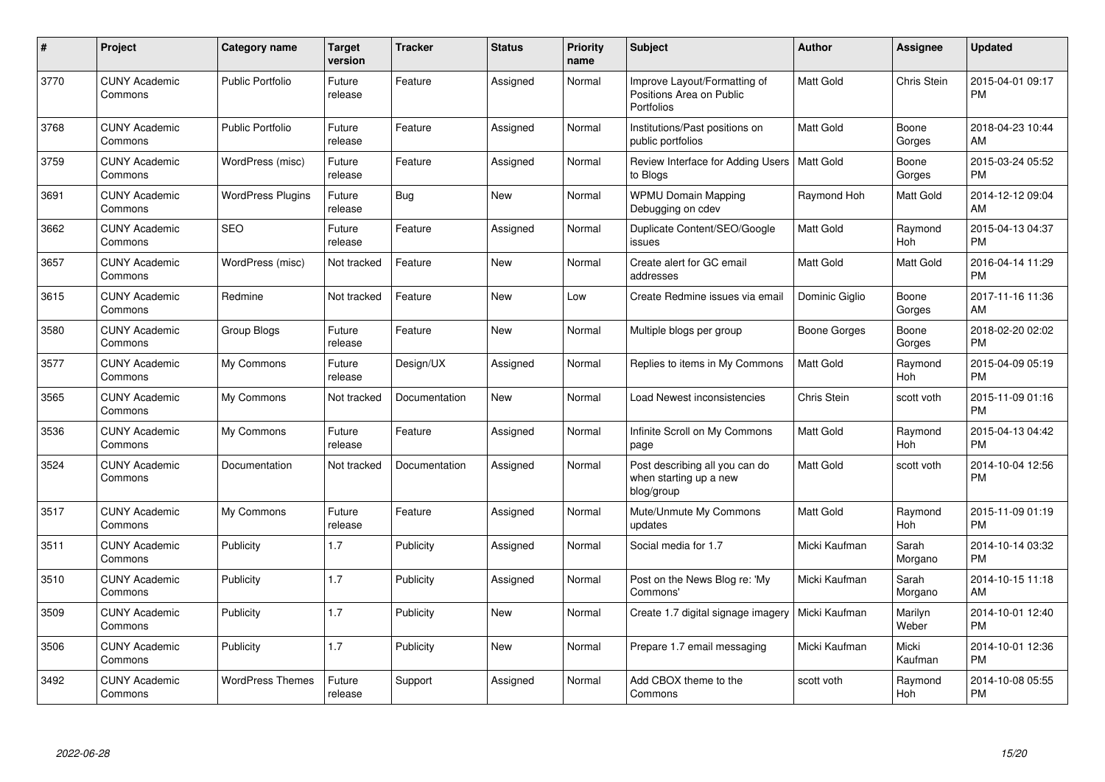| #    | Project                         | <b>Category name</b>     | Target<br>version | <b>Tracker</b> | <b>Status</b> | <b>Priority</b><br>name | <b>Subject</b>                                                         | <b>Author</b>       | <b>Assignee</b>       | <b>Updated</b>                |
|------|---------------------------------|--------------------------|-------------------|----------------|---------------|-------------------------|------------------------------------------------------------------------|---------------------|-----------------------|-------------------------------|
| 3770 | <b>CUNY Academic</b><br>Commons | <b>Public Portfolio</b>  | Future<br>release | Feature        | Assigned      | Normal                  | Improve Layout/Formatting of<br>Positions Area on Public<br>Portfolios | <b>Matt Gold</b>    | Chris Stein           | 2015-04-01 09:17<br><b>PM</b> |
| 3768 | <b>CUNY Academic</b><br>Commons | <b>Public Portfolio</b>  | Future<br>release | Feature        | Assigned      | Normal                  | Institutions/Past positions on<br>public portfolios                    | Matt Gold           | Boone<br>Gorges       | 2018-04-23 10:44<br>AM        |
| 3759 | <b>CUNY Academic</b><br>Commons | WordPress (misc)         | Future<br>release | Feature        | Assigned      | Normal                  | Review Interface for Adding Users   Matt Gold<br>to Blogs              |                     | Boone<br>Gorges       | 2015-03-24 05:52<br><b>PM</b> |
| 3691 | <b>CUNY Academic</b><br>Commons | <b>WordPress Plugins</b> | Future<br>release | <b>Bug</b>     | <b>New</b>    | Normal                  | <b>WPMU Domain Mapping</b><br>Debugging on cdev                        | Raymond Hoh         | <b>Matt Gold</b>      | 2014-12-12 09:04<br>AM        |
| 3662 | <b>CUNY Academic</b><br>Commons | <b>SEO</b>               | Future<br>release | Feature        | Assigned      | Normal                  | Duplicate Content/SEO/Google<br>issues                                 | <b>Matt Gold</b>    | Raymond<br><b>Hoh</b> | 2015-04-13 04:37<br><b>PM</b> |
| 3657 | <b>CUNY Academic</b><br>Commons | WordPress (misc)         | Not tracked       | Feature        | <b>New</b>    | Normal                  | Create alert for GC email<br>addresses                                 | Matt Gold           | <b>Matt Gold</b>      | 2016-04-14 11:29<br><b>PM</b> |
| 3615 | <b>CUNY Academic</b><br>Commons | Redmine                  | Not tracked       | Feature        | <b>New</b>    | Low                     | Create Redmine issues via email                                        | Dominic Giglio      | Boone<br>Gorges       | 2017-11-16 11:36<br>AM        |
| 3580 | <b>CUNY Academic</b><br>Commons | Group Blogs              | Future<br>release | Feature        | <b>New</b>    | Normal                  | Multiple blogs per group                                               | <b>Boone Gorges</b> | Boone<br>Gorges       | 2018-02-20 02:02<br><b>PM</b> |
| 3577 | <b>CUNY Academic</b><br>Commons | My Commons               | Future<br>release | Design/UX      | Assigned      | Normal                  | Replies to items in My Commons                                         | Matt Gold           | Raymond<br>Hoh        | 2015-04-09 05:19<br><b>PM</b> |
| 3565 | <b>CUNY Academic</b><br>Commons | My Commons               | Not tracked       | Documentation  | New           | Normal                  | Load Newest inconsistencies                                            | Chris Stein         | scott voth            | 2015-11-09 01:16<br><b>PM</b> |
| 3536 | <b>CUNY Academic</b><br>Commons | My Commons               | Future<br>release | Feature        | Assigned      | Normal                  | Infinite Scroll on My Commons<br>page                                  | Matt Gold           | Raymond<br>Hoh        | 2015-04-13 04:42<br><b>PM</b> |
| 3524 | <b>CUNY Academic</b><br>Commons | Documentation            | Not tracked       | Documentation  | Assigned      | Normal                  | Post describing all you can do<br>when starting up a new<br>blog/group | <b>Matt Gold</b>    | scott voth            | 2014-10-04 12:56<br><b>PM</b> |
| 3517 | <b>CUNY Academic</b><br>Commons | My Commons               | Future<br>release | Feature        | Assigned      | Normal                  | Mute/Unmute My Commons<br>updates                                      | Matt Gold           | Raymond<br>Hoh        | 2015-11-09 01:19<br><b>PM</b> |
| 3511 | <b>CUNY Academic</b><br>Commons | Publicity                | 1.7               | Publicity      | Assigned      | Normal                  | Social media for 1.7                                                   | Micki Kaufman       | Sarah<br>Morgano      | 2014-10-14 03:32<br><b>PM</b> |
| 3510 | <b>CUNY Academic</b><br>Commons | Publicity                | 1.7               | Publicity      | Assigned      | Normal                  | Post on the News Blog re: 'My<br>Commons'                              | Micki Kaufman       | Sarah<br>Morgano      | 2014-10-15 11:18<br>AM        |
| 3509 | <b>CUNY Academic</b><br>Commons | Publicity                | 1.7               | Publicity      | <b>New</b>    | Normal                  | Create 1.7 digital signage imagery                                     | Micki Kaufman       | Marilyn<br>Weber      | 2014-10-01 12:40<br><b>PM</b> |
| 3506 | <b>CUNY Academic</b><br>Commons | Publicity                | 1.7               | Publicity      | <b>New</b>    | Normal                  | Prepare 1.7 email messaging                                            | Micki Kaufman       | Micki<br>Kaufman      | 2014-10-01 12:36<br><b>PM</b> |
| 3492 | <b>CUNY Academic</b><br>Commons | <b>WordPress Themes</b>  | Future<br>release | Support        | Assigned      | Normal                  | Add CBOX theme to the<br>Commons                                       | scott voth          | Raymond<br>Hoh        | 2014-10-08 05:55<br><b>PM</b> |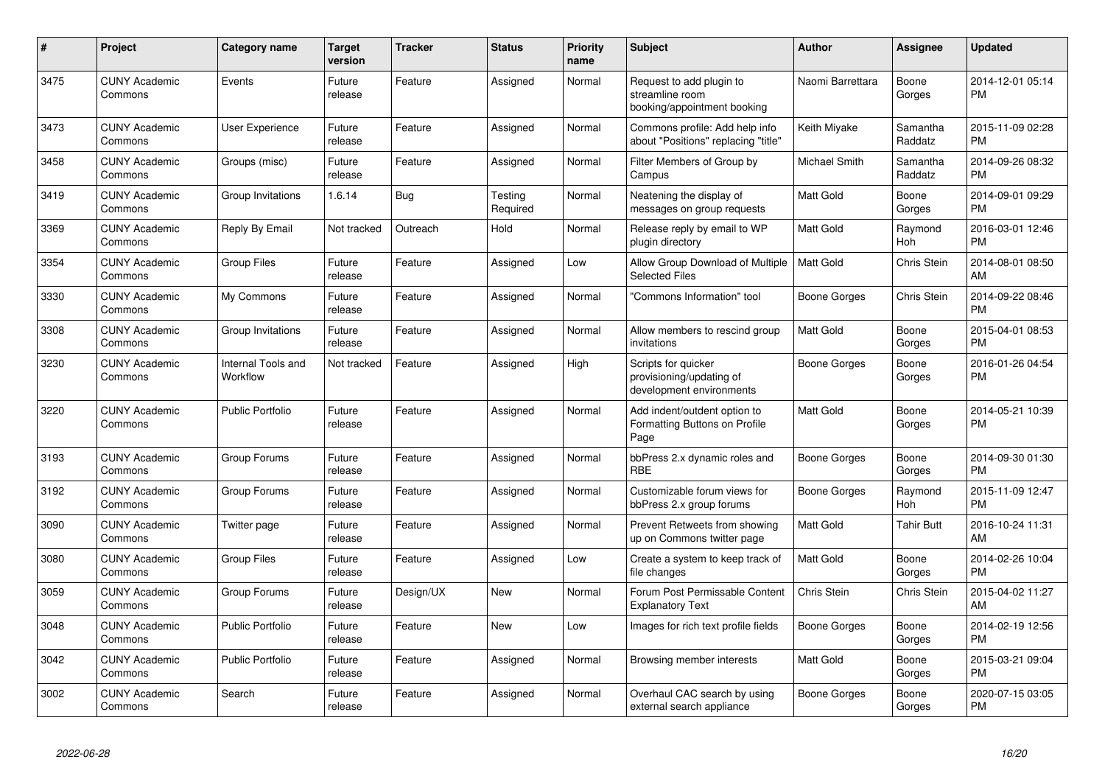| #    | Project                         | <b>Category name</b>           | <b>Target</b><br>version | <b>Tracker</b> | <b>Status</b>       | <b>Priority</b><br>name | <b>Subject</b>                                                               | <b>Author</b>       | <b>Assignee</b>     | <b>Updated</b>                |
|------|---------------------------------|--------------------------------|--------------------------|----------------|---------------------|-------------------------|------------------------------------------------------------------------------|---------------------|---------------------|-------------------------------|
| 3475 | <b>CUNY Academic</b><br>Commons | Events                         | Future<br>release        | Feature        | Assigned            | Normal                  | Request to add plugin to<br>streamline room<br>booking/appointment booking   | Naomi Barrettara    | Boone<br>Gorges     | 2014-12-01 05:14<br><b>PM</b> |
| 3473 | <b>CUNY Academic</b><br>Commons | <b>User Experience</b>         | Future<br>release        | Feature        | Assigned            | Normal                  | Commons profile: Add help info<br>about "Positions" replacing "title"        | Keith Miyake        | Samantha<br>Raddatz | 2015-11-09 02:28<br><b>PM</b> |
| 3458 | <b>CUNY Academic</b><br>Commons | Groups (misc)                  | Future<br>release        | Feature        | Assigned            | Normal                  | Filter Members of Group by<br>Campus                                         | Michael Smith       | Samantha<br>Raddatz | 2014-09-26 08:32<br><b>PM</b> |
| 3419 | <b>CUNY Academic</b><br>Commons | Group Invitations              | 1.6.14                   | <b>Bug</b>     | Testing<br>Required | Normal                  | Neatening the display of<br>messages on group requests                       | <b>Matt Gold</b>    | Boone<br>Gorges     | 2014-09-01 09:29<br><b>PM</b> |
| 3369 | <b>CUNY Academic</b><br>Commons | Reply By Email                 | Not tracked              | Outreach       | Hold                | Normal                  | Release reply by email to WP<br>plugin directory                             | <b>Matt Gold</b>    | Raymond<br>Hoh      | 2016-03-01 12:46<br><b>PM</b> |
| 3354 | <b>CUNY Academic</b><br>Commons | <b>Group Files</b>             | Future<br>release        | Feature        | Assigned            | Low                     | Allow Group Download of Multiple<br><b>Selected Files</b>                    | <b>Matt Gold</b>    | Chris Stein         | 2014-08-01 08:50<br>AM        |
| 3330 | <b>CUNY Academic</b><br>Commons | My Commons                     | Future<br>release        | Feature        | Assigned            | Normal                  | 'Commons Information" tool                                                   | <b>Boone Gorges</b> | <b>Chris Stein</b>  | 2014-09-22 08:46<br><b>PM</b> |
| 3308 | <b>CUNY Academic</b><br>Commons | Group Invitations              | Future<br>release        | Feature        | Assigned            | Normal                  | Allow members to rescind group<br>invitations                                | <b>Matt Gold</b>    | Boone<br>Gorges     | 2015-04-01 08:53<br><b>PM</b> |
| 3230 | <b>CUNY Academic</b><br>Commons | Internal Tools and<br>Workflow | Not tracked              | Feature        | Assigned            | High                    | Scripts for quicker<br>provisioning/updating of<br>development environments  | Boone Gorges        | Boone<br>Gorges     | 2016-01-26 04:54<br><b>PM</b> |
| 3220 | <b>CUNY Academic</b><br>Commons | <b>Public Portfolio</b>        | Future<br>release        | Feature        | Assigned            | Normal                  | Add indent/outdent option to<br><b>Formatting Buttons on Profile</b><br>Page | Matt Gold           | Boone<br>Gorges     | 2014-05-21 10:39<br><b>PM</b> |
| 3193 | <b>CUNY Academic</b><br>Commons | Group Forums                   | Future<br>release        | Feature        | Assigned            | Normal                  | bbPress 2.x dynamic roles and<br><b>RBE</b>                                  | Boone Gorges        | Boone<br>Gorges     | 2014-09-30 01:30<br><b>PM</b> |
| 3192 | <b>CUNY Academic</b><br>Commons | Group Forums                   | Future<br>release        | Feature        | Assigned            | Normal                  | Customizable forum views for<br>bbPress 2.x group forums                     | Boone Gorges        | Raymond<br>Hoh      | 2015-11-09 12:47<br><b>PM</b> |
| 3090 | <b>CUNY Academic</b><br>Commons | Twitter page                   | Future<br>release        | Feature        | Assigned            | Normal                  | Prevent Retweets from showing<br>up on Commons twitter page                  | <b>Matt Gold</b>    | <b>Tahir Butt</b>   | 2016-10-24 11:31<br>AM        |
| 3080 | <b>CUNY Academic</b><br>Commons | <b>Group Files</b>             | Future<br>release        | Feature        | Assigned            | Low                     | Create a system to keep track of<br>file changes                             | <b>Matt Gold</b>    | Boone<br>Gorges     | 2014-02-26 10:04<br><b>PM</b> |
| 3059 | <b>CUNY Academic</b><br>Commons | Group Forums                   | Future<br>release        | Design/UX      | New                 | Normal                  | Forum Post Permissable Content<br><b>Explanatory Text</b>                    | Chris Stein         | <b>Chris Stein</b>  | 2015-04-02 11:27<br>AM        |
| 3048 | <b>CUNY Academic</b><br>Commons | <b>Public Portfolio</b>        | Future<br>release        | Feature        | <b>New</b>          | Low                     | Images for rich text profile fields                                          | <b>Boone Gorges</b> | Boone<br>Gorges     | 2014-02-19 12:56<br><b>PM</b> |
| 3042 | <b>CUNY Academic</b><br>Commons | <b>Public Portfolio</b>        | Future<br>release        | Feature        | Assigned            | Normal                  | Browsing member interests                                                    | Matt Gold           | Boone<br>Gorges     | 2015-03-21 09:04<br><b>PM</b> |
| 3002 | <b>CUNY Academic</b><br>Commons | Search                         | Future<br>release        | Feature        | Assigned            | Normal                  | Overhaul CAC search by using<br>external search appliance                    | Boone Gorges        | Boone<br>Gorges     | 2020-07-15 03:05<br><b>PM</b> |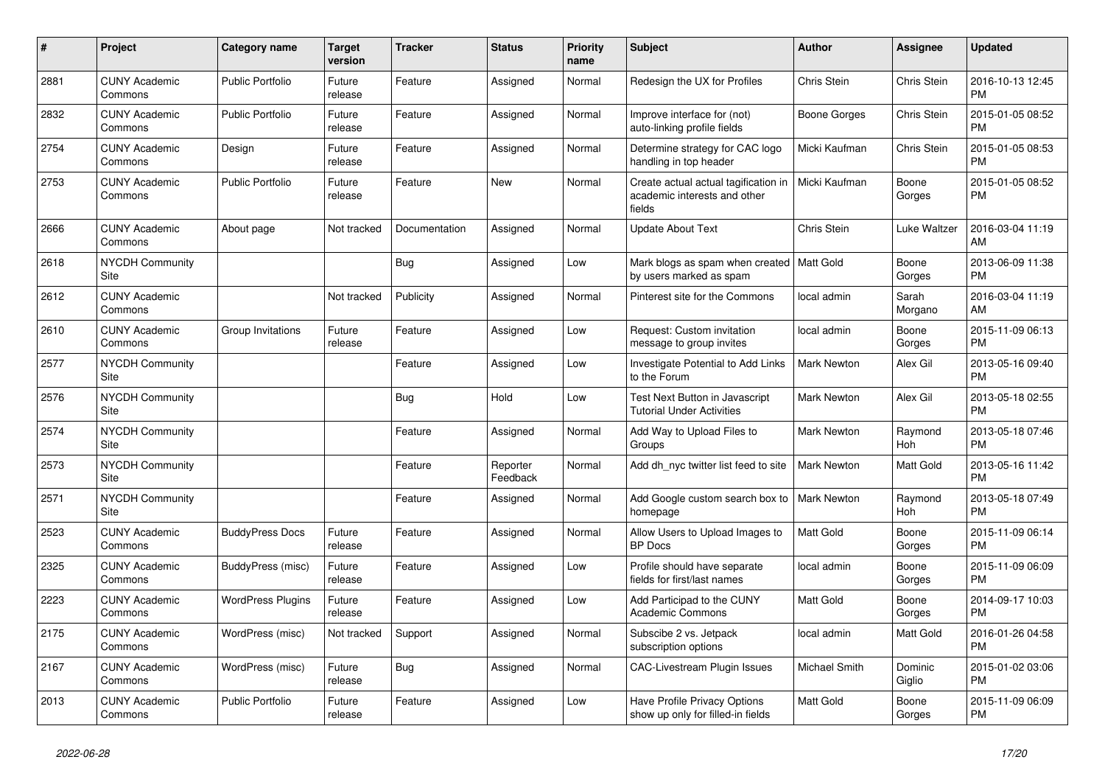| #    | <b>Project</b>                        | <b>Category name</b>     | <b>Target</b><br>version | <b>Tracker</b> | <b>Status</b>        | <b>Priority</b><br>name | <b>Subject</b>                                                                 | Author             | <b>Assignee</b>   | <b>Updated</b>                |
|------|---------------------------------------|--------------------------|--------------------------|----------------|----------------------|-------------------------|--------------------------------------------------------------------------------|--------------------|-------------------|-------------------------------|
| 2881 | <b>CUNY Academic</b><br>Commons       | <b>Public Portfolio</b>  | Future<br>release        | Feature        | Assigned             | Normal                  | Redesign the UX for Profiles                                                   | <b>Chris Stein</b> | Chris Stein       | 2016-10-13 12:45<br><b>PM</b> |
| 2832 | <b>CUNY Academic</b><br>Commons       | <b>Public Portfolio</b>  | Future<br>release        | Feature        | Assigned             | Normal                  | Improve interface for (not)<br>auto-linking profile fields                     | Boone Gorges       | Chris Stein       | 2015-01-05 08:52<br><b>PM</b> |
| 2754 | <b>CUNY Academic</b><br>Commons       | Design                   | Future<br>release        | Feature        | Assigned             | Normal                  | Determine strategy for CAC logo<br>handling in top header                      | Micki Kaufman      | Chris Stein       | 2015-01-05 08:53<br><b>PM</b> |
| 2753 | <b>CUNY Academic</b><br>Commons       | <b>Public Portfolio</b>  | Future<br>release        | Feature        | <b>New</b>           | Normal                  | Create actual actual tagification in<br>academic interests and other<br>fields | Micki Kaufman      | Boone<br>Gorges   | 2015-01-05 08:52<br><b>PM</b> |
| 2666 | <b>CUNY Academic</b><br>Commons       | About page               | Not tracked              | Documentation  | Assigned             | Normal                  | <b>Update About Text</b>                                                       | <b>Chris Stein</b> | Luke Waltzer      | 2016-03-04 11:19<br>AM        |
| 2618 | <b>NYCDH Community</b><br><b>Site</b> |                          |                          | Bug            | Assigned             | Low                     | Mark blogs as spam when created   Matt Gold<br>by users marked as spam         |                    | Boone<br>Gorges   | 2013-06-09 11:38<br><b>PM</b> |
| 2612 | <b>CUNY Academic</b><br>Commons       |                          | Not tracked              | Publicity      | Assigned             | Normal                  | Pinterest site for the Commons                                                 | local admin        | Sarah<br>Morgano  | 2016-03-04 11:19<br>AM        |
| 2610 | <b>CUNY Academic</b><br>Commons       | Group Invitations        | Future<br>release        | Feature        | Assigned             | Low                     | Request: Custom invitation<br>message to group invites                         | local admin        | Boone<br>Gorges   | 2015-11-09 06:13<br><b>PM</b> |
| 2577 | <b>NYCDH Community</b><br>Site        |                          |                          | Feature        | Assigned             | Low                     | Investigate Potential to Add Links<br>to the Forum                             | <b>Mark Newton</b> | Alex Gil          | 2013-05-16 09:40<br><b>PM</b> |
| 2576 | <b>NYCDH Community</b><br>Site        |                          |                          | <b>Bug</b>     | Hold                 | Low                     | Test Next Button in Javascript<br><b>Tutorial Under Activities</b>             | <b>Mark Newton</b> | Alex Gil          | 2013-05-18 02:55<br><b>PM</b> |
| 2574 | <b>NYCDH Community</b><br>Site        |                          |                          | Feature        | Assigned             | Normal                  | Add Way to Upload Files to<br>Groups                                           | <b>Mark Newton</b> | Raymond<br>Hoh    | 2013-05-18 07:46<br><b>PM</b> |
| 2573 | <b>NYCDH Community</b><br>Site        |                          |                          | Feature        | Reporter<br>Feedback | Normal                  | Add dh nyc twitter list feed to site                                           | <b>Mark Newton</b> | <b>Matt Gold</b>  | 2013-05-16 11:42<br><b>PM</b> |
| 2571 | <b>NYCDH Community</b><br>Site        |                          |                          | Feature        | Assigned             | Normal                  | Add Google custom search box to<br>homepage                                    | Mark Newton        | Raymond<br>Hoh    | 2013-05-18 07:49<br><b>PM</b> |
| 2523 | <b>CUNY Academic</b><br>Commons       | <b>BuddyPress Docs</b>   | Future<br>release        | Feature        | Assigned             | Normal                  | Allow Users to Upload Images to<br><b>BP</b> Docs                              | <b>Matt Gold</b>   | Boone<br>Gorges   | 2015-11-09 06:14<br><b>PM</b> |
| 2325 | <b>CUNY Academic</b><br>Commons       | BuddyPress (misc)        | Future<br>release        | Feature        | Assigned             | Low                     | Profile should have separate<br>fields for first/last names                    | local admin        | Boone<br>Gorges   | 2015-11-09 06:09<br><b>PM</b> |
| 2223 | <b>CUNY Academic</b><br>Commons       | <b>WordPress Plugins</b> | Future<br>release        | Feature        | Assigned             | Low                     | Add Participad to the CUNY<br><b>Academic Commons</b>                          | Matt Gold          | Boone<br>Gorges   | 2014-09-17 10:03<br><b>PM</b> |
| 2175 | <b>CUNY Academic</b><br>Commons       | WordPress (misc)         | Not tracked              | Support        | Assigned             | Normal                  | Subscibe 2 vs. Jetpack<br>subscription options                                 | local admin        | Matt Gold         | 2016-01-26 04:58<br><b>PM</b> |
| 2167 | <b>CUNY Academic</b><br>Commons       | WordPress (misc)         | Future<br>release        | <b>Bug</b>     | Assigned             | Normal                  | <b>CAC-Livestream Plugin Issues</b>                                            | Michael Smith      | Dominic<br>Giglio | 2015-01-02 03:06<br><b>PM</b> |
| 2013 | <b>CUNY Academic</b><br>Commons       | <b>Public Portfolio</b>  | Future<br>release        | Feature        | Assigned             | Low                     | Have Profile Privacy Options<br>show up only for filled-in fields              | Matt Gold          | Boone<br>Gorges   | 2015-11-09 06:09<br><b>PM</b> |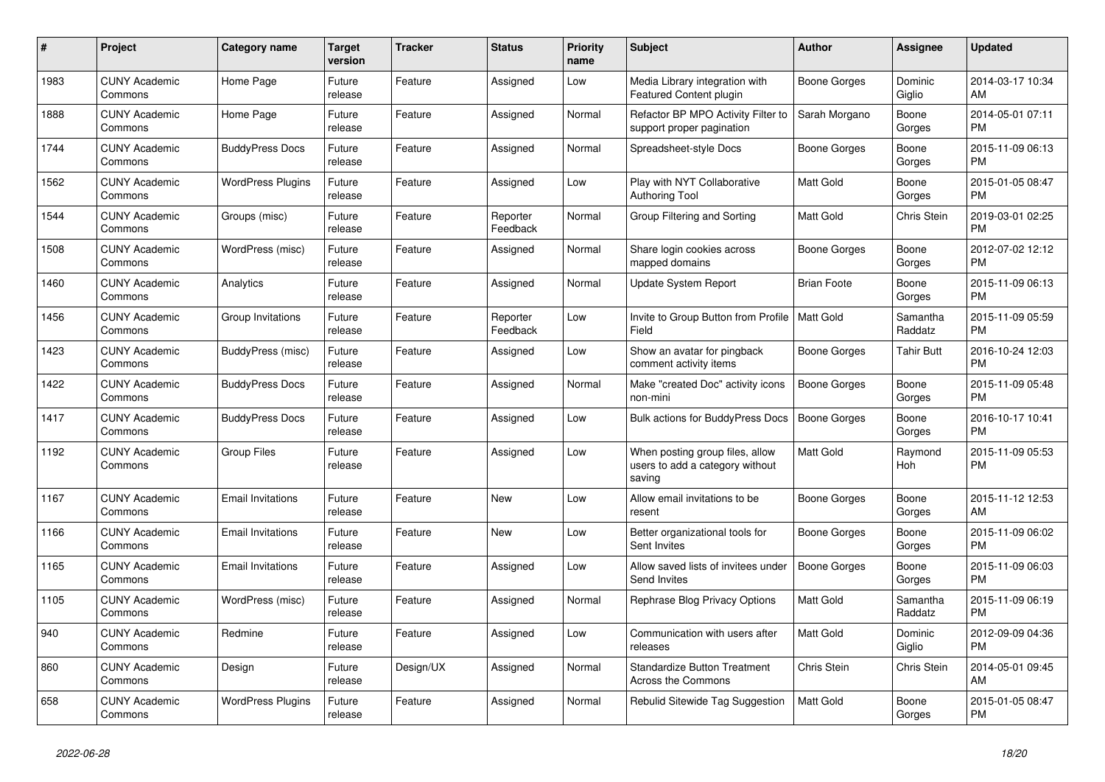| #    | <b>Project</b>                  | Category name            | <b>Target</b><br>version | Tracker   | <b>Status</b>        | <b>Priority</b><br>name | <b>Subject</b>                                                               | Author              | Assignee            | <b>Updated</b>                |
|------|---------------------------------|--------------------------|--------------------------|-----------|----------------------|-------------------------|------------------------------------------------------------------------------|---------------------|---------------------|-------------------------------|
| 1983 | <b>CUNY Academic</b><br>Commons | Home Page                | Future<br>release        | Feature   | Assigned             | Low                     | Media Library integration with<br>Featured Content plugin                    | Boone Gorges        | Dominic<br>Giglio   | 2014-03-17 10:34<br>AM        |
| 1888 | <b>CUNY Academic</b><br>Commons | Home Page                | Future<br>release        | Feature   | Assigned             | Normal                  | Refactor BP MPO Activity Filter to<br>support proper pagination              | Sarah Morgano       | Boone<br>Gorges     | 2014-05-01 07:11<br><b>PM</b> |
| 1744 | <b>CUNY Academic</b><br>Commons | <b>BuddyPress Docs</b>   | Future<br>release        | Feature   | Assigned             | Normal                  | Spreadsheet-style Docs                                                       | Boone Gorges        | Boone<br>Gorges     | 2015-11-09 06:13<br><b>PM</b> |
| 1562 | <b>CUNY Academic</b><br>Commons | <b>WordPress Plugins</b> | Future<br>release        | Feature   | Assigned             | Low                     | Play with NYT Collaborative<br><b>Authoring Tool</b>                         | <b>Matt Gold</b>    | Boone<br>Gorges     | 2015-01-05 08:47<br><b>PM</b> |
| 1544 | <b>CUNY Academic</b><br>Commons | Groups (misc)            | Future<br>release        | Feature   | Reporter<br>Feedback | Normal                  | Group Filtering and Sorting                                                  | Matt Gold           | Chris Stein         | 2019-03-01 02:25<br><b>PM</b> |
| 1508 | <b>CUNY Academic</b><br>Commons | WordPress (misc)         | Future<br>release        | Feature   | Assigned             | Normal                  | Share login cookies across<br>mapped domains                                 | <b>Boone Gorges</b> | Boone<br>Gorges     | 2012-07-02 12:12<br><b>PM</b> |
| 1460 | <b>CUNY Academic</b><br>Commons | Analytics                | Future<br>release        | Feature   | Assigned             | Normal                  | Update System Report                                                         | <b>Brian Foote</b>  | Boone<br>Gorges     | 2015-11-09 06:13<br><b>PM</b> |
| 1456 | <b>CUNY Academic</b><br>Commons | Group Invitations        | Future<br>release        | Feature   | Reporter<br>Feedback | Low                     | Invite to Group Button from Profile   Matt Gold<br>Field                     |                     | Samantha<br>Raddatz | 2015-11-09 05:59<br><b>PM</b> |
| 1423 | <b>CUNY Academic</b><br>Commons | BuddyPress (misc)        | Future<br>release        | Feature   | Assigned             | Low                     | Show an avatar for pingback<br>comment activity items                        | Boone Gorges        | Tahir Butt          | 2016-10-24 12:03<br><b>PM</b> |
| 1422 | <b>CUNY Academic</b><br>Commons | <b>BuddyPress Docs</b>   | Future<br>release        | Feature   | Assigned             | Normal                  | Make "created Doc" activity icons<br>non-mini                                | Boone Gorges        | Boone<br>Gorges     | 2015-11-09 05:48<br><b>PM</b> |
| 1417 | <b>CUNY Academic</b><br>Commons | <b>BuddyPress Docs</b>   | Future<br>release        | Feature   | Assigned             | Low                     | Bulk actions for BuddyPress Docs                                             | <b>Boone Gorges</b> | Boone<br>Gorges     | 2016-10-17 10:41<br><b>PM</b> |
| 1192 | <b>CUNY Academic</b><br>Commons | <b>Group Files</b>       | Future<br>release        | Feature   | Assigned             | Low                     | When posting group files, allow<br>users to add a category without<br>saving | Matt Gold           | Raymond<br>Hoh      | 2015-11-09 05:53<br><b>PM</b> |
| 1167 | <b>CUNY Academic</b><br>Commons | <b>Email Invitations</b> | Future<br>release        | Feature   | <b>New</b>           | Low                     | Allow email invitations to be<br>resent                                      | Boone Gorges        | Boone<br>Gorges     | 2015-11-12 12:53<br>AM        |
| 1166 | <b>CUNY Academic</b><br>Commons | <b>Email Invitations</b> | Future<br>release        | Feature   | <b>New</b>           | Low                     | Better organizational tools for<br>Sent Invites                              | Boone Gorges        | Boone<br>Gorges     | 2015-11-09 06:02<br><b>PM</b> |
| 1165 | <b>CUNY Academic</b><br>Commons | <b>Email Invitations</b> | Future<br>release        | Feature   | Assigned             | Low                     | Allow saved lists of invitees under<br>Send Invites                          | <b>Boone Gorges</b> | Boone<br>Gorges     | 2015-11-09 06:03<br><b>PM</b> |
| 1105 | <b>CUNY Academic</b><br>Commons | WordPress (misc)         | Future<br>release        | Feature   | Assigned             | Normal                  | Rephrase Blog Privacy Options                                                | Matt Gold           | Samantha<br>Raddatz | 2015-11-09 06:19<br><b>PM</b> |
| 940  | <b>CUNY Academic</b><br>Commons | Redmine                  | Future<br>release        | Feature   | Assigned             | Low                     | Communication with users after<br>releases                                   | <b>Matt Gold</b>    | Dominic<br>Giglio   | 2012-09-09 04:36<br><b>PM</b> |
| 860  | <b>CUNY Academic</b><br>Commons | Design                   | Future<br>release        | Design/UX | Assigned             | Normal                  | <b>Standardize Button Treatment</b><br>Across the Commons                    | Chris Stein         | Chris Stein         | 2014-05-01 09:45<br>AM        |
| 658  | <b>CUNY Academic</b><br>Commons | <b>WordPress Plugins</b> | Future<br>release        | Feature   | Assigned             | Normal                  | Rebulid Sitewide Tag Suggestion                                              | <b>Matt Gold</b>    | Boone<br>Gorges     | 2015-01-05 08:47<br><b>PM</b> |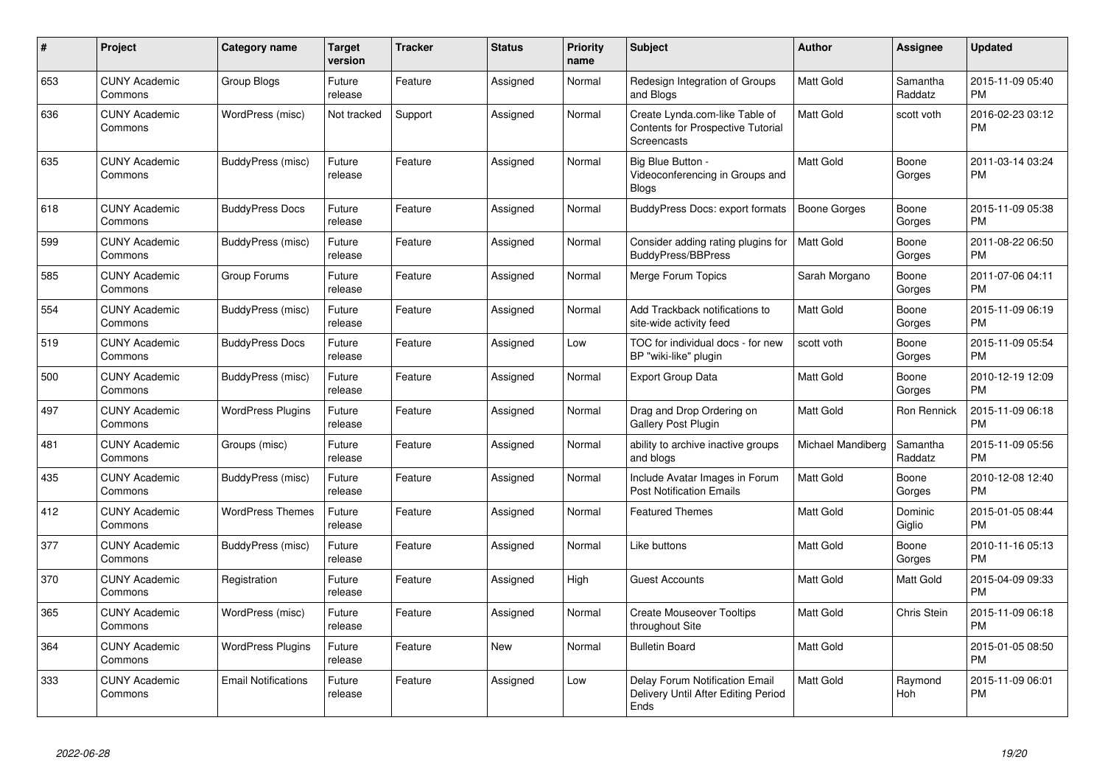| $\pmb{\#}$ | Project                         | Category name              | <b>Target</b><br>version | Tracker | <b>Status</b> | <b>Priority</b><br>name | <b>Subject</b>                                                                     | <b>Author</b>       | Assignee            | <b>Updated</b>                |
|------------|---------------------------------|----------------------------|--------------------------|---------|---------------|-------------------------|------------------------------------------------------------------------------------|---------------------|---------------------|-------------------------------|
| 653        | <b>CUNY Academic</b><br>Commons | Group Blogs                | Future<br>release        | Feature | Assigned      | Normal                  | Redesign Integration of Groups<br>and Blogs                                        | <b>Matt Gold</b>    | Samantha<br>Raddatz | 2015-11-09 05:40<br><b>PM</b> |
| 636        | <b>CUNY Academic</b><br>Commons | WordPress (misc)           | Not tracked              | Support | Assigned      | Normal                  | Create Lynda.com-like Table of<br>Contents for Prospective Tutorial<br>Screencasts | <b>Matt Gold</b>    | scott voth          | 2016-02-23 03:12<br><b>PM</b> |
| 635        | <b>CUNY Academic</b><br>Commons | BuddyPress (misc)          | Future<br>release        | Feature | Assigned      | Normal                  | Big Blue Button -<br>Videoconferencing in Groups and<br><b>Blogs</b>               | <b>Matt Gold</b>    | Boone<br>Gorges     | 2011-03-14 03:24<br><b>PM</b> |
| 618        | <b>CUNY Academic</b><br>Commons | <b>BuddyPress Docs</b>     | Future<br>release        | Feature | Assigned      | Normal                  | BuddyPress Docs: export formats                                                    | <b>Boone Gorges</b> | Boone<br>Gorges     | 2015-11-09 05:38<br><b>PM</b> |
| 599        | <b>CUNY Academic</b><br>Commons | BuddyPress (misc)          | Future<br>release        | Feature | Assigned      | Normal                  | Consider adding rating plugins for<br>BuddyPress/BBPress                           | <b>Matt Gold</b>    | Boone<br>Gorges     | 2011-08-22 06:50<br><b>PM</b> |
| 585        | <b>CUNY Academic</b><br>Commons | Group Forums               | Future<br>release        | Feature | Assigned      | Normal                  | Merge Forum Topics                                                                 | Sarah Morgano       | Boone<br>Gorges     | 2011-07-06 04:11<br><b>PM</b> |
| 554        | <b>CUNY Academic</b><br>Commons | BuddyPress (misc)          | Future<br>release        | Feature | Assigned      | Normal                  | Add Trackback notifications to<br>site-wide activity feed                          | <b>Matt Gold</b>    | Boone<br>Gorges     | 2015-11-09 06:19<br><b>PM</b> |
| 519        | <b>CUNY Academic</b><br>Commons | <b>BuddyPress Docs</b>     | Future<br>release        | Feature | Assigned      | Low                     | TOC for individual docs - for new<br>BP "wiki-like" plugin                         | scott voth          | Boone<br>Gorges     | 2015-11-09 05:54<br><b>PM</b> |
| 500        | <b>CUNY Academic</b><br>Commons | BuddyPress (misc)          | Future<br>release        | Feature | Assigned      | Normal                  | <b>Export Group Data</b>                                                           | <b>Matt Gold</b>    | Boone<br>Gorges     | 2010-12-19 12:09<br><b>PM</b> |
| 497        | <b>CUNY Academic</b><br>Commons | <b>WordPress Plugins</b>   | Future<br>release        | Feature | Assigned      | Normal                  | Drag and Drop Ordering on<br>Gallery Post Plugin                                   | <b>Matt Gold</b>    | Ron Rennick         | 2015-11-09 06:18<br><b>PM</b> |
| 481        | <b>CUNY Academic</b><br>Commons | Groups (misc)              | Future<br>release        | Feature | Assigned      | Normal                  | ability to archive inactive groups<br>and blogs                                    | Michael Mandiberg   | Samantha<br>Raddatz | 2015-11-09 05:56<br><b>PM</b> |
| 435        | <b>CUNY Academic</b><br>Commons | BuddyPress (misc)          | Future<br>release        | Feature | Assigned      | Normal                  | Include Avatar Images in Forum<br><b>Post Notification Emails</b>                  | <b>Matt Gold</b>    | Boone<br>Gorges     | 2010-12-08 12:40<br><b>PM</b> |
| 412        | <b>CUNY Academic</b><br>Commons | <b>WordPress Themes</b>    | Future<br>release        | Feature | Assigned      | Normal                  | <b>Featured Themes</b>                                                             | Matt Gold           | Dominic<br>Giglio   | 2015-01-05 08:44<br><b>PM</b> |
| 377        | <b>CUNY Academic</b><br>Commons | BuddyPress (misc)          | Future<br>release        | Feature | Assigned      | Normal                  | Like buttons                                                                       | <b>Matt Gold</b>    | Boone<br>Gorges     | 2010-11-16 05:13<br><b>PM</b> |
| 370        | <b>CUNY Academic</b><br>Commons | Registration               | Future<br>release        | Feature | Assigned      | High                    | <b>Guest Accounts</b>                                                              | <b>Matt Gold</b>    | <b>Matt Gold</b>    | 2015-04-09 09:33<br><b>PM</b> |
| 365        | <b>CUNY Academic</b><br>Commons | WordPress (misc)           | Future<br>release        | Feature | Assigned      | Normal                  | <b>Create Mouseover Tooltips</b><br>throughout Site                                | <b>Matt Gold</b>    | Chris Stein         | 2015-11-09 06:18<br><b>PM</b> |
| 364        | <b>CUNY Academic</b><br>Commons | <b>WordPress Plugins</b>   | Future<br>release        | Feature | <b>New</b>    | Normal                  | <b>Bulletin Board</b>                                                              | <b>Matt Gold</b>    |                     | 2015-01-05 08:50<br><b>PM</b> |
| 333        | <b>CUNY Academic</b><br>Commons | <b>Email Notifications</b> | Future<br>release        | Feature | Assigned      | Low                     | Delay Forum Notification Email<br>Delivery Until After Editing Period<br>Ends      | <b>Matt Gold</b>    | Raymond<br>Hoh      | 2015-11-09 06:01<br><b>PM</b> |